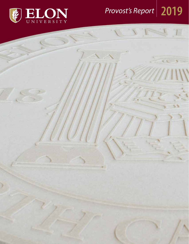

# *Provost's Report* **2019**

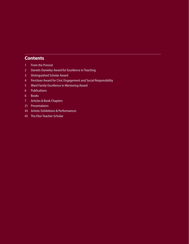## **Contents**

- From the Provost
- Daniels-Danieley Award for Excellence in Teaching
- Distinguished Scholar Award
- Periclean Award for Civic Engagement and Social Responsibility
- Ward Family Excellence in Mentoring Award
- Publications
- Books
- Articles & Book Chapters
- Presentations
- Artistic Exhibitions & Performances
- The Elon Teacher-Scholar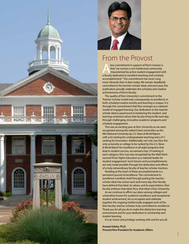



## From the Provost

key commitment in support of Elon's mission is<br>
that "we nurture a rich intellectual community<br>
characterized by active student engagement with that "we nurture a rich intellectual community a faculty dedicated to excellent teaching and scholarly accomplishment." This commitment has never rung more vibrantly than it does today. We remain steadfastly committed to the teacher-scholar ideal, and each year, this publication proudly celebrates the scholarly and creative achievements of Elon's faculty.

The quality of Elon University's commitment to the Teacher-Scholar model and, consequently, to excellence in both scholarly/creative activity and teaching is unique. It is through this commitment that Elon emerges as a national model of engaged learning. Our dedication to the teacherscholar ideal is paramount to bolstering the student- and learning-centered culture that faculty bring to life each day through challenging, innovative academic programs and scholarly engagement.

This was an exciting year at Elon University as we were recognized among the nation's best universities as the #84 National University by *U.S. News & World Report,* with a #2 ranking for undergraduate teaching and a #11 ranking for innovation. Additionally, not only was Elon the only university or college to be ranked by the *U.S. News & World Report* for excellence in all eight programs that lead to student success, we earned a top-10 ranking in each category. Elon was also recognized by the *Wall Street Journal/Times Higher Education* as a national leader for student engagement. Such honors and accomplishments are only made possible through the dedication and efforts of a truly extraordinary faculty of teacher-scholar-mentors.

Residing at the heart of these accomplishments is a persistent pursuit of excellence. This commitment to excellence manifests itself through putting the teacherscholar ideal into action each and every day. Elon faculty have defined that ideal, its values, and its expectations. Elon faculty embrace that ideal; thus, that ideal is Elon University.

As we continue to affirm our place among colleges and universities known for academic excellence and exceptional student achievement, let us recognize and celebrate together the ongoing intellectually engaged work of the Elon faculty, teacher-scholars truly committed to excellence. Thank you for all you do to make this distinctive learning environment and for your dedication to scholarship and student learning.

It is an honor and privilege working with and for you all.

**Aswani Volety, Ph.D. Provost/Vice President for Academic Affairs**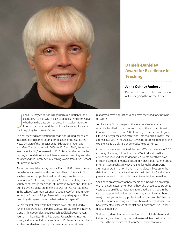

anna Quitney Anderson is regarded as an influential and tor wrote.

anna Quitney Anderson is re<br>
exemplary teacher who mak<br>
whether in the classroom or<br>
Internet forums around the v<br>
the Imagining the Internet Center. exemplary teacher who makes student learning come alive, whether in the classroom or preparing students to cover Internet forums around the world each year as director of

She has received many national recognitions during her career, including being named Journalism Teacher of the Year by the News Division of the Association for Education in Journalism and Mass Communication in 2008. In 2010 and 2011, Anderson was the university's nominee for U.S. Professor of the Year by the Carnegie Foundation for the Advancement of Teaching, and she has received the Excellence in Teaching Award from Elon's School of Communications.

Anderson joined the faculty ranks at Elon in 1999 following two decades as a journalist in Minnesota and North Dakota. At Elon, she has progressed professionally and was promoted to full professor in 2014. Through the years, Anderson has taught a wide variety of courses in the School of Communications and Elon Core Curriculum, including an opening course for first-year students in the school, "Communications in a Global Age." One nominator wrote that "having a full professor with her pedagogical abilities teaching a first-year course is what makes Elon special."

Within the last three years, her courses have included Media Writing, Reporting for the Public Good, and Future of the Internet, along with independent courses such as Global Documentary Journalism, Near-Real-Time Reporting, Research into Internet Issues, and Internet Hall of Fame Project. "Professor Anderson helps students understand the importance of communications across

platforms, across populations and across the world," one nomina-

**Teaching**

**Daniels-Danieley** 

**Janna Quitney Anderson**

**Award for Excellence in** 

Professor of communications and director of the Imagining the Internet Center

As director of Elon's Imagining the Internet Center, she has organized and led student teams covering the annual Internet Governance Forums since 2006, traveling to Greece, Brazil, Egypt, Lithuania, Kenya, Mexico, Switzerland, France, and Germany. One alumna involved in the 2006 IGF coverage in Greece described the experience as "a truly rare undergraduate opportunity."

Closer to home, she organized the FutureWeb conference in 2010 in Raleigh featuring Internet pioneers Vint Cerf and Tim Berners-Lee and involved her students in 22 events over three days, including sessions aimed at educating high school students about Internet issues such as privacy and intellectual property. One alumnus wrote in his nomination that Anderson "lives up to the definition of both impact and excellence in teaching," and takes a personal interest in their professional lives after they leave Elon.

She's been an advocate for new media and innovation on campus, with one nominator remembering how she encouraged students years ago to use Flip cameras to capture audio and video in the field to support their writing assignments, a practice that then was just being adopted by professional newsrooms. She's been a valuable mentor, working with more than a dozen students who have presented research at the National Conferences on Undergraduate Research.

"Helping students become better journalists, global citizens and individuals, watching us go out and make a difference in the world — that is the embodiment of Janna," one nominator wrote.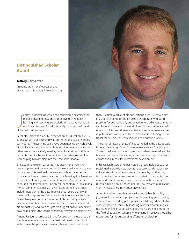## **Distinguished Scholar Award**

### **Jeffrey Carpenter**

Associate professor of education and director of the Teaching Fellows Program

effrey Carpenter's reserview of collaboration and teaching<br>
learning and teaching<br>
media can be used for<br>
higher education contexts. effrey Carpenter's research and scholarship examines the role of collaboration and collaborative technologies in learning and teaching, particularly in the ways that social media can be used for educational purposes in K-12 and

Carpenter joined the faculty in the School of Education in 2010 as an assistant professor and was promoted to associate professor in 2016. The past nine years have been marked by high levels of scholarly productivity, with his work widely read and cited and other researchers actively seeking out collaborations with him. Carpenter credits the environment and his colleagues at Elon with helping him develop into the scholar he is today.

Since coming to Elon, Carpenter has given more than 110 research presentations, many of which were delivered at top-tier national and international conferences such as the American Educational Research Association Annual Meeting, the American Association of Colleges of Teacher Education Annual Conference, and the International Society for Technology in Educational Annual Conference. Since 2010, he has published 40 articles, including 26 during the past three calendar years, along with three book chapters and 14 papers in conference proceedings. One colleague noted that "quite simply, his scholarly output rivals many top teacher education scholars. I have marveled at his productivity and even sought his suggestions to understand how he maintains the intensity of productivity in his scholarship."

Among his journal articles, 25 have focused on the use of social media as an educational and professional development tool, with three of his publications already having been cited more

than 100 times and all of his publications cited 369 total times in 2018, according to Google Scholar. Carpenter writes and presents for both scholarly and practitioner audiences so that he can have an impact in the world of teacher education and K-12 education. His practitioner-oriented articles have been featured in publications widely read by K-12 educators including Educational Leadership, Phi Delta Kappan and Education Week.

"The array of research that Jeff has compiled in the past decade is undoubtedly significant," one nominator wrote. "His study on Twitter in education, for example, is considered seminal, and he is viewed as one of the leading experts on the ways K-12 teachers use social media for professional development."

In his research, Carpenter has noted that technologies such as social media provide new ways for educators and students to collaborate with a wide assortment of people, but that such technological tools also come with constraints. Carpenter has also made collaboration a key component of his approach to research, having co-authored peer-review research publications with 17 researchers from other universities.

A nominator from another university noted that "his ability to juggle multiple research projects, while teaching, participating in service work, leading grant projects and doing administrative work for the Elon University Teaching Fellows program makes me wonder if he ever actually sleeps. He is a true role model in the field of education whom I wholeheartedly believe should be recognized for his outstanding efforts in scholarship."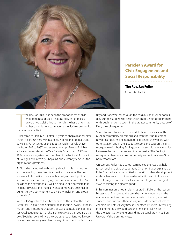

## **Periclean Award for Civic Engagement and Social Responsibility**

**The Rev. Jan Fuller** University chaplain

the Rev. Jan Fulle<br>
engagement an<br>
university chapl.<br>
ed her commitn<br>
that embraces all faiths. he Rev. Jan Fuller has been the embodiment of civic engagement and social responsibility in her role as university chaplain, through which she has demonstrated her commitment to creating an inclusive community

Fuller came to Elon in 2011 after 24 years as chaplain at her alma mater, Hollins University in Roanoke, Virginia. Prior to her work at Hollins, Fuller served as the Baptist chaplain at Yale University from 1982 to 1987, and as an adjunct professor of higher education ministries at the Yale Divinity School from 1983 to 1987. She is a long-standing member of the National Association of College and University Chaplains, and currently serves as the organization's president.

At Elon, she is credited with taking a leading role in launching and developing the university's multifaith program. The creation of a fully multifaith approach to religious and spiritual life on campus was challenging, one nominator notes, but "Jan has done this exceptionally well, helping us all appreciate that religious diversity and multifaith engagement are essential to our university's commitment to diversity, inclusion and global citizenship."

With Fuller's guidance, Elon has expanded the staff at the Truitt Center for Religious and Spiritual Life to include Jewish, Catholic, Muslim and Protestant chaplains, as well as a multifaith coordinator. A colleague notes that she is one to always think outside the box. "Social responsibility is the very essence of Jan's work every day as she constantly searches for ways to connect students, fac-

ulty and staff, whether through the religious, spiritual or nonreligious understanding she fosters with Truitt Center programming, or through her connections in the greater community outside of Elon," the colleague said.

Several nominators noted her work to build resources for the Muslim community on campus and with the Muslim community off campus. As one nominator explained, she worked with others at Elon and in the area to welcome and support the first mosque in neighboring Burlington and foster close relationships between the new mosque and the university. "The Burlington mosque has become a true community center in our area," the nominator wrote.

On campus, Fuller has created learning experiences that help foster social and civic engagement. One nominator explains that Fuller "is an educator committed to holistic student development and challenges all of us to consider what it means to live your best life, aligned with your values, contributing in meaningful ways to serving the greater good."

In his nomination letter, an alumnus credits Fuller as the reason he stayed at Elon due to the care she has for students and the encouragement and counsel she provides. She's engaged with students and supports them in ways outside her official role as chaplain, he notes. "Every time in her office felt more like walking into a home, as she would take the time and really invest in the projects I was working on and my personal growth at Elon University," the alumnus wrote.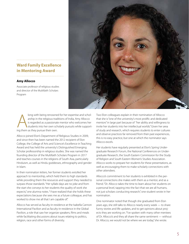## **Ward Family Excellence in Mentoring Award**

### **Amy Allocco**

Associate professor of religious studies and director of the Multifaith Scholars Program

long with being renowne<br>arship in the religious track<br>is regarded as a passionat<br>students into her own sch<br>ing them as they pursue their own. long with being renowned for her expertise and scholarship in the religious traditions of India, Amy Allocco is regarded as a passionate mentor who welcomes her students into her own scholarly pursuits while support-

Allocco joined Elon's Department of Religious Studies in 2009, and since then has been named the 2012 recipient of Elon College, the College of Arts and Science's Excellence in Teaching Award and has held the university's Distinguished Emerging Scholar professorship in religious studies. She was named the founding director of the Multifaith Scholars Program in 2017 and teaches courses in the religions of South Asia, particularly Hinduism, as well as Hindu goddesses, ethnography and gender in Islam.

In their nomination letters, her former students extolled her approach to mentorship, which held them to high standards while providing them the resources and support they needed to surpass those standards. "Her syllabi days are no joke and from the start she conveys to her students the quality of work she expects," one alumna notes. "I have realized that she holds these expectations because she sees me as a future colleague, and has worked to show me all that I am capable of."

Allocco has served as faculty-in-residence at the Isabella Cannon International Pavilion and as faculty-in-residence in the Global Pavilion, a role that saw her organize speakers, films and meals while facilitating discussions about issues relating to politics, religion, race and other forms of diversity.

Two Elon colleagues explain in their nomination of Allocco that she is "one of the university's most prolific and dedicated mentors" in large part because of "her ability and willingness to invite her students into her intellectual worlds." Given her area of study and research, which requires students to enter cultures and observe practices far removed from their past experiences, this is no easy practice, but one at which the nominator says Allocco excels.

Her students have regularly presented at Elon's Spring Undergraduate Research Forum, the National Conferences on Undergraduate Research, the South Eastern Commission for the Study of Religion and South Eastern Women's Studies Association. Allocco works to prepare her students for these presentations, as well as encouraging them to make scholarly connections with other attendees.

Allocco's commitment to her students is exhibited in the personal connections she makes with them as a mentor, and as a friend. "Dr. Allocco takes the time to learn about her students on a personal level, tapping into the fact that we are all humans, not just scholars conducting research," one student wrote in her nomination.

One nominator noted that though she graduated from Elon years ago, she still talks to Allocco nearly every week — to share funny stories and life updates, and to get opinions about projects they are working on. "I've spoken with many other mentees of Dr. Allocco's and they all share the same sentiment — without Dr. Allocco, we would not be where we are today," she wrote.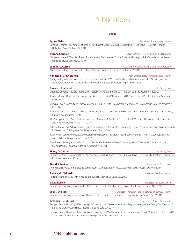## Publications

| <b>Books</b>                                                                                    |                                                                                                                                |  |
|-------------------------------------------------------------------------------------------------|--------------------------------------------------------------------------------------------------------------------------------|--|
| <b>Lynne Bisko</b>                                                                              | Associate Librarian, Belk Library                                                                                              |  |
|                                                                                                 | Personal Librarians: Building Relationships for Student Success, with H. Buchansky, B. C. Gray, and E. G. Reese, Libraries     |  |
| Unlimited, Santa Barbara, CA, 2019.                                                             |                                                                                                                                |  |
| <b>Rozana Carducci</b>                                                                          | Associate Professor, Education and Wellness                                                                                    |  |
|                                                                                                 | Contested Issues in Troubled Times: Student Affairs Dialogues on Equity, Civility, and Safety, with P. Magolda and M. Baxter   |  |
| Magolda, Stylus, Sterling, VA, 2019.                                                            |                                                                                                                                |  |
| <b>Jennifer J. Carroll</b>                                                                      | Assistant Professor, Sociology and Anthropology                                                                                |  |
| Narkomania: Drugs, HIV, and Citizenship in Ukraine, Cornell University Press, Ithaca, NY, 2019. |                                                                                                                                |  |
| Vanessa L. Drew-Branch                                                                          | Assistant Professor, Human Service Studies                                                                                     |  |
| Gerken, L. Conner, P.A. Scharagrodsky, M. Riedel, and B. Guy-Sheftall, Lexington Books, 2019.   | Antagonizing White Feminism: Intersectionality's Critique of Women's Studies and the Academy, with P. Chatterjee, T.W.         |  |
| <b>Steven I. Friedland</b>                                                                      | Professor, Law                                                                                                                 |  |
|                                                                                                 | Evidence Law and Practice, 7th Ed., with P. Bergman and D. Benham, Lexis Pub. Co., Carolina Academic Press, 2019.              |  |
| Press, 2019.                                                                                    | Teachers Manual for Evidence Law and Practice, 7th Ed., with P. Bergman and D. Benham, Lexis Pub. Co., Carolina Academic       |  |
| Press, 2019.                                                                                    | Criminal Law: A Context and Practice Casebook, 2nd Ed., with C. Carpenter, K. Chavis, and C. Arcabascio, Carolina Academic     |  |
| Carolina Academic Press, 2019.                                                                  | Teacher's Manual for Criminal Law: A Context and Practice Casebook, 2nd Ed., with C. Carpenter, K. Chavis, and C. Arcabascio,  |  |
| and R. Rosen, Wolters Kluwer, N.Y., 2019.                                                       | 2019 Supplement to Constitutional Law: Cases, Materials & Problems, 3rd Ed., with R. Weaver, C. Hancock, B. Fair, J. Knechtle, |  |
| R. Weaver and D. Fairgrieve, Carolina Academic Press, 2019.                                     | Administrative Law, Administrative Structures, and Administrative Decisionmaking: Comparative Perspectives, Volume IX, with    |  |
| and G. Gil, Carolina Academic Press, 2019.                                                      | Twenty-First Century Remedies: Comparative Perspectives, The Global Papers Series, Volume X, with R. Weaver, L. Tranchant,     |  |
| Raynouard & D. Fairgrieve, Carolina Academic Press, 2019.                                       | Free Speech, Privacy and Media: Comparative Papers, The Global Series Volume XI, with R. Weaver, M. Cole, A. Koltay, A.        |  |
| <b>Henry D. Gabriel</b>                                                                         | Professor, Law                                                                                                                 |  |
| Products, release 91, 2019.                                                                     | Bender's Uniform Commercial Code Service: Sales and Bulk Transfers, Vol 3 & 3A, with W.H. Henning, 612, Matthew Bender Elite   |  |
| David S. Levine                                                                                 | Associate Professor, Law                                                                                                       |  |
|                                                                                                 | Information Law, Governance, and Cybersecurity, with S. Sandeen, West Academic Publishing, St. Paul, MN, 2019.                 |  |
| Rebecca L. Neiduski                                                                             | Professor, Health Sciences                                                                                                     |  |
| Pediatric Hand Therapy, with J. Abzug and S. Kozin, Elsevier, St. Louis, MO, 2019.              |                                                                                                                                |  |
| <b>Laura Roselle</b>                                                                            | Professor, Political Science                                                                                                   |  |
|                                                                                                 | Research and Writing in Comparative Politics, 3rd ed., with J. Shelton and S. Spray, Routledge, New York, NY, 2019.            |  |
| <b>Joel T. Shelton</b>                                                                          | Assistant Professor, Political Science and Policy Studies                                                                      |  |
|                                                                                                 | Research and Writing in International Relations, 3rd ed., with L. Roselle and S. Spray, Routledge, New York, NY, 2019.         |  |
| Amanda F. C. Sturgill                                                                           | Associate Professor, Journalism                                                                                                |  |
| Stout, Religion in Cyberspace, Praeger, Santa Barbara, CA, 2019.                                | Religion Online: How Digital Technology is Changing the Way We Worship and Pray, Volume 1, with A. Grant, C-H Chen and D.      |  |
| Stout, Faith Groups and Digital Media. Praeger, Santa Barbara, CA, 2019.                        | Religion Online: How Digital Technology is Changing the Way We Worship and Pray, Volume 2, with A. Grant, C-H Chen and D.      |  |

## 6 2019 Publications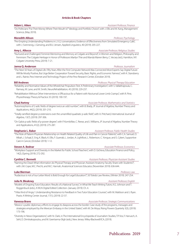### **Articles & Book Chapters**

### **Adam L. Aiken** *Assistant Professor, Finance*

"Do Politicians "Put Their Money Where Their Mouth Is?" Ideology and Portfolio Choice", with J. Ellis and M. Kang, Management Science, (May 2019).

### **Meredith Allison** *Professor, Psychology*

"Pre-Empting Understanding Problems in L1/L2 conversations: Evidence of Effectiveness from Simulated Emergency Calls", with J. Svennevig, J. Gerwing, and B.U. Jensen, Applied Linguistics, 40 (2019): 205-227.

**Amy L. Allocco** *Associate Professor, Religious Studies* 

"Nurtured and Challenged: Feminist Mentoring and Memory at Colgate and Beyond", in Women and Religion, Philosophy and Feminism: The Colgate Heritage in Honor of Professors Marilyn Thie and Wanda Warren Berry, C. Vecsey (ed.), Hamilton, NY: Colgate University Press, (2019): 7-21.

### **Janna Q. Anderson** *Professor, Journalism*

"The Next 50 Years of Digital Life: Fifty Years After the First Computer Network Was Connected Most Experts Say Digital Future Will Be Mostly Positive, But Urge Better Cooperation Toward Security, Basic Rights, and Economic Fairness", with K. Stansberry and L. Rainie, Pew Internet and Technology Project of the Pew Research Center, (October 2019).

**Bill Andrews** *Professor, Physical Therapy Education* 

"Reliability and Normative Values of the Wheelchair Propulsion Test: A Preliminary Investigation", with S. Vallabhajosula, C. Ramsey, M. Lane, and M. Smith, NeuroRehabilitation, 45 (2019): 229-237.

"Rehabilitation Without Other Interventions is Efficacious for a Patient with Nocturnal Lower Limb Cramps", with R. Pine, Physiotherapy Theory & Practice 35 (2019): 190-197.

**Chad Awtrey** *Associate Professor, Mathematics and Statistics*

"Automorphisms of 2-adic fields of degree twice an odd number", with B. Brady, JP Journal of Algebra, Number Theory and Applications, 44(2), (2019): 201-210.

"Totally ramified degree-p extensions over the unramified quadratic p-adic field", with A. Pritchard, International Journal of Algebra, 13(7), (2019): 297-306.

"On Galois p-adic fields of p-power degree", with P. Komlofske, C. Reese, and J. Williams, JP Journal of Algebra, Number Theory and Applications, 41(2), (2019): 275-287.

### **Stephanie L. Baker** *Assistant Professor, Public Health Studies*

"The Role of Patient-Physician Relationship on Health Related Quality of Life and Pain in Cancer Patients", with C.A. Samuel, O. Mbah, J. Schaal, E. Eng, K. Black, K. Ellis, F. Guerrab, L. Jordan, A. Lightfoot, L. Robertson, C. Yongue, and S. Cykert, Supportive Care in Cancer, (October 2019): 1-12.

### **Steven A. Bednar** *Associate Professor, Economics*

"Workplace Support and Diversity in the Market for Public School Teachers", with D. Gicheva, Education Finance and Policy, 14(2), (Spring 2019): 272-292.

**Cynthia C. Bennett** *Assistant Professor, Physician Assistant Studies*

"Naming the Dead: What information do Physical Therapy and Physician Assistant Anatomy Faculty Share with Students?", with J.M. Cope, M.C. Precht, and M.C. Hannah, Anatomical Sciences Educator, (November 2019): 636-644.

### **Luke Bierman** *Professor, Law*

"Audacious is not a Four Letter Word: Is Bold Enough for Legal Education?", 50 Toledo Law Review, (Winter 2019): 247-254.

**Julia N. Bleakney** *Assistant Professor, English*

"Models of Ongoing Tutor Education: Results of a National Survey", in What We Teach Writing Tutors, K.G. Johnson and T. Roggenbuck (eds.), A WLN Digital Edited Collection. (January 2019): Ch. 4.

"'I Was Kind of Angry': Understanding Resistance to Feedback in Two Tutor Education Courses", with M. Mattison and J. Ryan. Praxis: A Writing Center Journal, 17(1), (2019): 22-37.

### **Vanessa Bravo** *Associate Professor, Strategic Communications*

"Mexico`s public diplomacy efforts to engage its diaspora across the border: Case study of the programs, messages and strategies employed by the Mexican Embassy in the United States", with M. De Moya, Rising Powers Quarterly 3(3), (2019): 173-196.

"Diversity in News Organizations", with N. Clark, in The International Encyclopedia of Journalism Studies, T.P. Vos, F. Hanusch, A. Sehl, D. Dimitrakopoulou, and M. Geertsema-Sligh (eds.), New Jersey: Wiley-Blackwell/ICA, (2019).

### Publications 2019 7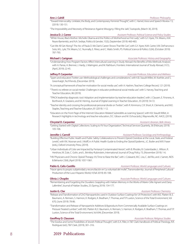"Toward Intervocality: Linklater, the Body, and Contemporary Feminist Thought", with C. Hamel, Voice and Speech Review 13, (2019): 130-151.

"The Impossibility and Necessity of Resistance Against Misogyny: Filling the Jails", Soziopolis, (March 30, 2019).

**Jessica D. J. Carew** *Assistant Professor, Political Science and Policy Studies*

"White House, Black Mother: Michelle Obama and the Politics of Motherhood as First Lady", with G.Y. Ayee, T.N. Means, A.M. Reyes-Barrientéz, and N.A. Sediqe, Politics & Gender, 15(3), (September 2019): 460-483.

"Can We All Get Along?: The Arc of Paula D. McClain's Career Shows That We Can", with G.Y. Ayee, N.M. Carter, V.M. DeFrancesco Soto, M.L. Lyle, T.N. Means, S.C. Nunnally, E. Pérez, and C. Watts Smith, PS: Political Science & Politics 52(4), (October 2019): 787-793.

### **Michael I. Carignan** *Associate Professor, History and Geography*

"Understanding How Program Factors Affect Intercultural Learning in Study Abroad: the Benefits of Mix-Methods Analysis", with A. Parras, A. Brenner, J. Hardy, J. Malmgren, and M. Rathburn, Frontiers: International Journal of Study Abroad, 31(1), (April, 2019): 22-45.

### **Jeffrey P. Carpenter** *Associate Professor, Education and Wellness*

"Spam and educators' Twitter use: Methodological challenges and considerations", with K.B. Staudt Willet, M. Koehler, and S. Greenhalgh, TechTrends, (December 2019).

"A conceptual framework of teacher motivation for social media use", with A. Hashim, Teachers College Record, 121 (2019).

- "'There's no referee on social media': Challenges in educator professional social media use", with S. Harvey, Teaching and Teacher Education, 86 (2019).
- "TPACK leadership diagnostic tool: Adoption and implementation by teacher education leaders", with J. Clausen, E. Finsness, A. Borthwick, K. Graziano, and M. Herring, Journal of Digital Learning in Teacher Education, 35 (2019): 54-72.
- "Teacher identity and crossing the professional-personal divide on Twitter", with R. Kimmons, C.R. Short, K. Clements, and M.E. Staples, Teaching and Teacher Education, 81 (2019): 1-12.
- "Educators on the Front Page of the Internet: Education-Related Subreddits as Learning Spaces", with K.B. Staudt Willet, in Research highlights in technology and teacher education, D.C. Gibson and M. Ochoa (eds.), Waynesville, NC: AACE, (2019).

**Chrystal D. Carpenter** *Assistant Librarian, Belk Library*

"Getting Started with Digital Collections: Scaling to Fit Your Organization", Technical Services Quarterly, 36 (February 2019): 105-106.

### **Jennifer J. Carroll** *Assistant Professor, Sociology and Anthropology*

- "Building Effective Public Health and Public Safety Collaborations to Prevent Opioid Overdose at the Local, State, and Federal Levels", with R.K. Noonan and J. Wolff, in A Public Health Guide to Ending the Opioid Epidemic, J.C. Butler and M.R. Fraser (eds.), Oxford University Press, (2019).
- "Urban Individuals of Color are Impacted by Fentanyl-Contaminated Heroin", with B. Rhodes, B. Costenbader, L. Wilson, R. Hershow, W. Zule, C. Golin, and L. Brinkley-Rubinstein, International Journal of Drug Policy 73, (November 2019): 1-6.
- "HIV Physicians and Chronic Opioid Therapy: It's Time to Raise the Bar", with J. Colasanti, M.C. Lira, C. del Rio, and J. Samet, AIDS & Behavior 23(4), (April 2019): 1057-1061.

### **Pablo G. Celis-Castillo** *Assistant Professor, World Languages and Cultures*

"Hacer ajeno lo propio: subjetividad y reconciliación en 'La voluntad del molle'", Transmodernity: Journal of Peripheral Cultural Production of the Luso-Hispanic World, 9 (Fall 2019): 85-108.

**Olivia J. Choplin** *Associate Professor, World Languages and Cultures* "Remembering and Forgetting the Duvaliers: Grappling with Haitian Memory in the Works of Marie-Célie Agnant and Dany Laferrière", Journal of Haitian Studies, 25 (Spring 2019): 154-177.

### **Justin G. Clar** *Assistant Professor, Chemistry*

- "Release and Transformation of ZnO Nanoparticles used in Outdoor Surface Coatings for UV Protection", with W.E. Platten III, E. Baumann, A. Remsen, S. Harmon, K. Rodgers, K. Bradham, T. Thomas, and T.P. Luxton, Science of the Total Environment, Vol 670, (June 2019): 78-86.
- "Transformation and Release of Nanoparticle Additives & Byproducts from Commercially Available Surface Coatings on Pressure Treated Lumber", with W.E. Platten III, E. Baumann, A. Remsen, S. Harmon, K. Rodgers, K. Bradham, T. Thomas, and T.P. Luxton, Science of the Total Environment, Vol 694, (December 2019).

### **Geoffrey D. Claussen** *Associate Professor, Religious Studies*

"The Exodus and Some Possibilities of Jewish Political Thought", with E.A. Filler, in T&T Clark Handbook of Political Theology, R.R. Rodriguez (ed.), T&T Clark, (2019), 301–316.

### 8 2019 Publications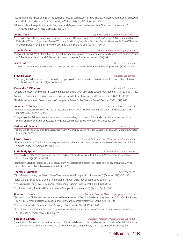"'I Will Be With Them': God at the Burning Bush as an Ideal of Compassion for all Creatures", in Ehyeh Asher Ehyeh, D. Birnbaum and M.S. Cohen (eds.), New York: New Paradigm Matrix Publishing, (2019), pp. 241–264.

"Musar and Jewish Veganism", in Jewish Veganism and Vegetarianism: Studies and New Directions, J. Labendz and S. Yanklowitz (eds.), SUNY Press, (April 2019): 195–216.

**John L. Cook** *Legal Method and Communication Fellow*

"Is It Constitutional to Legislate a Minimum Five-Year Term of Reimprisonment Based Upon Specific Acts Committed By a Defendant While on Supervised Release Without a Jury Finding Such Acts Occurred Beyond a Reasonable Doubt?", Preview of United States v. Haymond, 46 Preview of United States Supreme Court Cases 17, (2019).

**Janet M. Cope** *Professor, Physical Therapy Education*

"Naming the Dead: What information do Physical Therapy and Physician Assistant anatomy faculty share with students?", with M.C. Precht, M.K. Hannah, and C. Bennett, Anatomical Sciences Education, (January 2019): 1-9.

### **Jayoti Das** *Professor, Economics*

"Women in Government, Environment, and Corruption", with C. DiRienzo, Environmental Development, 30 (2019): pp. 103- 113.

### **Steve DeLoach** *Professor, Economics*

"Unemployment duration and the personalities of young adults workers", with R. Sansale and M. Kurt, Journal of Behavioral and Experiment Economics, 79(1), (2019): 1-12.

### **Cassandra E. DiRienzo** *Professor, Economics*

"Culture, Corruption, and Women in Government", International Journal of Cross Cultural Management, 19(3) (2019): 315-332.

"Women in Government, Environment, and Corruption", with J. Das, Environmental Development, 30 (2019): 103-113.

"The Effect of Women in Government on Country-Level Peace", Global Change, Peace & Security, 31(2), (2019): 1-18.

### **Jonathan C. Dooley** *Associate Professor, Education*

"Introduction: Special issue on civic and political engagement", with K.M. Soria, Journal of Student Affairs Research and Practice, (56)5, (2019): 475-476.

"Navigating roles: Administrator, educator, and advocate", in Maybe I should…Case studies on ethics for student affairs professionals, M. Benjamin and J. Jessup-Anger (eds.), Lexington Books, New York, NY, (2019): 197-201.

### **Catherine R. Dunham** *Professor, Law*

"Federal Circuit" in Survey of Federal Class Action Law: A Circuit-By-Circuit Analysis, E.J. Cabraser (ed.), ABA Publishing, Chicago, Illinois, (2019): 273-87.

**Carrie P. Eaves** *Assistant Professor, Political Science and Policy Studies*

"The Southern Voice: The Political Consequences of a Southern Accent", with J. Husser and K. Fernandez, Midsouth Political Science Review, 20, (September 2019): 31-57.

**L. Kimberly Epting** *Associate Professor, Psychology*

"Buzzwords: Identifying the language of gender and mental health status", with J. Burchett, North American Journal of Psychology, 21(3) (2019): 661-674.

"Tempest in a teapot: Relabeling radical behaviorism will not rescue the science or practice of behavior analysis", with T.S. Critchfield, Journal of Behaviorology, 22, (2019): 19-22.

### **Thomas R. Erdmann** *Professor, Music*

"Cindy Bradley: Making Her Dreams Come True", International Trumpet Guild Journal, 44(1), (October 2019): 45-53, 58.

"Terell Stafford - Leading By Example", International Trumpet Guild Journal, 43(4), (June 2019): 14-23.

"Living Musical History - Louise Baranger", International Trumpet Guild Journal, 43(3), (March 2019): 16-25.

"Jim Rotondi: Living The Good Life", International Trumpet Guild Journal, 43(2), (January 2019): 26-36.

### **Brandon K. Essary** *Associate Professor, World Languages and Cultures*

"Revisioning the Global Middle Ages: Immersive Environments for Teaching Medieval Languages and Culture", with L. Ramey, D. Neville, S. Amer, J. deHaan, M. Durand, and R. Howland, Digital Philology 8.1, (Spring 2019): 86-104.

"Dante's Inferno, Video Games, and Pop Pedagogy", Parole rubate, 20, (Fall 2019): 59-82.

"From Poem to PlayStation 3: Teaching Dante with Video Games", in Approaches to Teaching Dante, Kleinhenz and Kristina Olson (eds.), New York: MLA, (2019): 192-99.

**Elizabeth S. Evans** *Assistant Professor, Physical Therapy Education*

"Examination of clinical and laboratory measures of static and dynamic balance in breast cancer survivors", with C.J. Ketcham, J.C. Hibberd, M.E. Cullen, J.G. Basiliere, and D.L. Murphy, Physiotherapy Theory & Practice, 19, (November 2019): 1-11.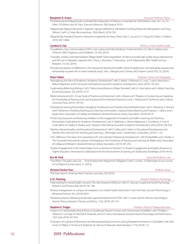- "Photothermal and Magnetically Controlled Reconfiguration of Polymer Composites for Soft Robotics", with J.A.C. Liu, J.H. Gillen, S.R. Mishra, and J.B. Tracy, Sciences Advances, 5(8), (August 2019).
- "Magnetically Aligned Nanorods in Alginate Capsules (MANiACs): Soft Matter Tumbling Robots for Manipulation and Drug Delivery", with L.O. Mair, Micromachines, 10(4), (March 2019): 230.
- "Magnetically Actuated Dynamic Iridescence Inspired by the Neon Tetra", with Z. Luo, and C.H. Chang, ACS Nano, 13 (March 2019): 4657-4666.

**Cynthia D. Fair** *Professor, Public Health Studies*

- "A qualitative cross-cultural analysis of NICU care culture and infant feeding in Finland and the U.S", with S. Holdren and L. Lehtonen, BMC Pregnancy and Childbirth, 19, 345, (2019).
- "Outsiders, insiders, and intermediaries: Village Health Teams' negotiation of roles to provide high quality sexual, reproductive and HIV care in Nakaseke, Uganda", with S. Perry, S. Burrowes, S. Holcombe, and R. Kalyesubula, BMC Health Services Research, 19, 563, (2019).
- "Provider perceptions of differences in the sexual and reproductive health needs of adolescents with perinatally-acquired and behaviorally-acquired HIV: A mixed methods study", with J. Albright and O. Varney, AIDS Patient Care & STDs, 33, (2019).

**Peter Felten** *Professor, History and Geography* 

- "Reimagining the Place of Students in Academic Development", with S. Abbot, J. Kirkwood, A. Long, T. Lubicz-Nawrocka, L. Mercer-Mapstone, and R. Verwoord, International Journal for Academic Development, 24(2), (2019): 192-203.
- "Legitimating Reflecting Writing in SoTL: 'Disfunctional Illusions of Rigor' Revisited", with A. Cook-Sather and S. Abbot, Teaching & Learning Inquiry, 7(2), (2019): 14-27.
- "Multi-Institutional SoTL: A Case Study of Practices and Outcomes", with J. Moore and T. Peeples, in Conducting and Applying the Scholarship of Teaching and Learning beyond the Individual Classroom Level, J. Friberg and K. McKinney (eds.), Indiana University Press, (2019): 149-161.
- "Developing Learning Partnerships: Navigating Troublesome and Transformational Relationships", with K. Meinking, S. Tennant, and K. Westover, in Building Teaching and Learning Communities: Creating Shared Meaning and Purpose, C. Gibson and S. Mader (eds.), Association of College and Research Libraries/American Library Association, (2019): 69-79.
- "Enhancing Outcomes and Reducing Inhibitors to the Engagement of Students and Staff in Learning and Teaching Partnerships: Implications for Academic Development", with K. Matthews, L. Mercer-Mapstone, S. Dvorakova, A. Acai, A. Cook-Sather, M. Healey, R. Healey, and E. Marquis, International Journal for Academic Development, 24(3), (2019): 246-259.
- "Identity, Intersectionality, and Educational Development", with D. Little and D. Green, in Educational Development and Identity: New Directions for Teaching and Learning, L. Bernhagen and E. Gravett (eds.), Jossey-Bass, (2019): 11-23.
- "SoTL Difference: The Value of Incorporating SoTL into Librarian Professional Development", with M. MacMillan and J. Ruelle, in The Grounded Instructional Librarian: Participating in the Scholarship of Teaching and Learning, M. Mallon (ed.), Association of College and Research Libraries/American Library Association, (2019): 245-256.
- "Student Engagement in the United States: From Customers to Partners?", in Student Engagement and Quality Assurance in Higher Education: International Collaborations for the Enhancement of Learning, M. Tanaka (ed.), Routledge, (2019): 46-56.

### **Eric M. Fink** *Associate Professor, Law*

""Just When I Thought I was Out …":Post-Employment Repayment Obligations" with S. Lichten, 25 Washington & Lee Journal of Civil Rights & Social Justice, 51, (2019).

### **Victoria Fischer Faw** *Professor, Music*

"The Eyes Have It", American Music Teacher, June/July, (19), (2019).

### **CJ E. Fleming** *Assistant Professor, Psychology*

- "Help-seeking for mental health concerns: The role of partner influence", with E.C. Muscari, Couple and Family Psychology: Research and Practice, 8(4), (2019): 181-196.
- "Anxiety management on campus: An evaluation of a mobile health intervention", with A.M. Paul, Journal of Technology in Behavioral Science, 4(1), (2019): 58-61.
- "Residual symptoms following empirically supported treatment for PTSD", with S. Larsen and P.A. Resnick, Psychological Trauma: Theory, Research, Practice, and Policy, 11(2), (2019): 207-215.

- "Impact of a Carbohydrate Mouth Rinse on Quadriceps Muscle Function and Corticomotor Excitability", with S.P. Bailey, J. Hibberd, D. La Forge, M. Mitchell, B. Roelands, and G.K. Harris, International Journal of Sports Physiology and Performance, 14(7), (July 2019): 927-933.
- "Evaluation of Cognitive Performance and Neurophysiological Function during Repeated Immersion in Cold Water", with D.M. Jones, S.P. Bailey, K. De Pauw, B. Roelands, M.J. Buono, R. Meeusen, Brain Research, 1718, (2019): 1-9.

### 10 2019 Publications

### **Stephen E. Folger** *Professor, Physical Therapy Education*

**Benjamin A. Evans** *Associate Professor, Physics*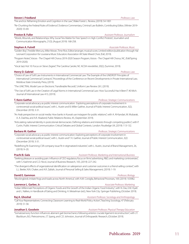**Steven I. Friedland** *Professor, Law*

"Fire and Ice: Reframing Emotion and Cognition in the Law", Wake Forest L. Review, (2019): 54-1001

"Re-Chunking the Federal Rules of Evidence", Evidence Commentary, Criminal Law Bulletin, Contributing Editor, (Winter 2019- 2020): 55-69.

### **Preston B. Fuller** *Assistant Professor, Journalism*

"Words, Wounds, and Relationships: Why Social Ties Matter for Free Speech in High-Conflict Protests", Journalism and Communication Monographs, 21(3), (August 2019): 168-258.

### **Stephen A. Futrell** *Associate Professor, Music*

"Golden Boy", Freddie Mercury, Mike Moran, Time Rice, Editor/arranger, musical score, Limited edition/publication through Hal Leonard Corporation for Louisiana Music Educators Association All State Mixed Choir, (Fall, 2019).

"Program Notes", Voices - The Chapel Hill Chorus 2019-2020 Season Program, Voices - The Chapel Hill Chorus, NC, (Fall/Spring 2019-2020).

"Vocal Jazz Hot 10: Focus on Steve Zegree", The Carolina Caroler, NC ACDA newsletter, 20(2), (Summer, 2019).

### **Henry D. Gabriel** *Professor, Law*

"Choice of Law of Soft Law Instruments in International Commercial Law: The Example of the UNIDROIT Principles of International Commercial Contracts", Proceedings of the Conference on Recent Developments in Private International Law, Moldova State University Press, (2019).

"The UNICTRAL Model Law on Electronic Transferable Records", Uniform Law Review 261, (2019).

"The Use of Soft Law in the Creation of Legal Norms in International Commercial Law: How Successful Has It Been?", 40 Mich. Journal of International Law 413, (2019).

### **T. Kenn Gaither** *Professor, Strategic Communications*

"Corporate social advocacy as public interest communication: Exploring perceptions of corporate involvement in controversial social-political issues", with L. Austin and B. Miller Gaither, Journal of Public Interest Communication, 3(2), (December 2019): 3-31.

"An Arab perspective on social media: How banks in Kuwait use instagram for public relations", with A. Al-Kandari, M. Mubarak, A. A. Dashtia, and A.R. Alsaberd, Public Relations Review, 45, (September 2019).

"Articulating national Identity in postcolonial democracies: Defining relations and interests through competing publics", with P. Curtin, Public Interest Communication: Critical Debates and Global Contexts. London: Routledge UK, (2019): 113-132.

**Barbara M. Gaither** *Professor, Strategic Communications*

"Corporate social advocacy as public interest communication: Exploring perceptions of corporate involvement in controversial social-political issues", with L. Austin and T. K. Gaither, Journal of Public Interest Communication, 3(2) (December 2019): 3-31.

"Redefining fit: Examining CSR company-issue fit in stigmatized industries", with L. Austin, Journal of Brand Management, 26, (2019): 9–20.

### **Prachi B. Gala** *Assistant Professor, Marketing and International Business*

"Seeking pleasure or avoiding pain: Influence of CEO regulatory focus on firms' advertising, R&D, and marketing controversies", with S. Kashmiri and C.D. Nicol, Journal of Business Research, 105, (2019): 227-242.

"The divergent effects of organizational identification on salesperson and customer outcomes in a friend-selling context", with L.L. Beeler, N.N. Chaker, and A.R. Zablah, Journal of Personal Selling & Sales Management, (2019): 1-19.

### **David E. Gammon** *Professor, Biology*

"Mockingbirds imitate frogs and toads across North America", with A.M. Corsiglia, Behavioral Processes, 169, (2019): 103982.

### **Lawrence L. Garber, Jr.** *Associate Professor, Marketing*

"Indian Millennials' Perceptions of Organic Foods and the Growth of the Indian Organic Food Industry", with N. Das, E.M. Hyatt and L. Nafees, in Handbook of Eating and Drinking, H. Meiselman (ed.), New York City: Springer Publishing, (October 2019).

**Raj A. Ghoshal** *Assistant Professor, Sociology and Anthropology*

"Call Your Representatives: Connecting Classroom Learning to Real-World Policy Action", Teaching Sociology, 47 (February 2019): 51-58.

**Jonathan S. Goodwin** *Assistant Professor, Physical Therapy Education*

"Somatosensory function influences aberrant gait biomechanics following anterior cruciate ligament reconstruction", with J.T. Blackburn, B.G. Pietrosimone, J.T. Spang, and C.D. Johnston, Journal of Orthopaedic Research, (October 2019).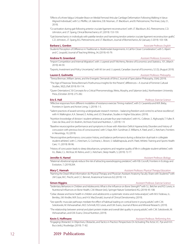"Effects of a Knee Valgus Unloader Brace on Medial Femoral Articular Cartilage Deformation Following Walking in Varus-Aligned Individuals", with S.J. Pfeiffer, J.A. Valentine, D.B. Nissman, J.T. Blackburn, and B. Pietrosimone, The Knee, (July 21, 2019).

"Co-activation during gait following anterior cruciate ligament reconstruction", with J.T. Blackburn, B.G. Pietrosimone, C.D. Johnston, and J.T. Spang, Clinical Biomechanics, 67, (2019): 153-159.

"Gait biomechanics in individuals with patellar tendon and hamstring tendon anterior cruciate ligament reconstruction grafts", C.D. Johnston, J.T. Spang, B.G. Pietrosimone, and J.T. Blackburn, Journal of Biomechanics, 82 (January 3 2019): 103-108.

### **Barbara L. Gordon** *Associate Professor, English*

Students' Perception of Difference in Traditional vs. Multimodal Assignments: A Call for Closer Consideration", with S. Alpert and C. Leupold, Journal of Teaching Writing, 34, (2019): 43-79.

### **Andrew N. Greenland** *Assistant Professor, Economics*

"Import Competition and Internal Migration", with J. Lopresti and P. McHenry, Review of Economics and Statistics, 101, (March 2019): 44-59.

"Exports, Investment and Policy Uncertainty", with M. Ion and J. Lopresti, Canadian Journal of Economics, 52 (3), (August 2019).

### **Lauren E. Guilmette** *Assistant Professor, Philosophy*

"Teresa Brennan, William James, and the Energetic Demands of Ethics", Journal of Speculative Philosophy, 33(4), (2019).

- "The Age of Paranoia: Teresa Brennan's Posthumous Insights for the Present", differences—A Journal of Feminist Cultural Studies, 30(2), (Fall 2019): 93-114.
- "Queer Orientations", 50 Concepts for a Critical Phenomenology, Weiss, Murphy, and Salamon (eds.), Northwestern University Press, (October 2019): 275-282.

"Affective responses from different modalities of resistance exercise: Timing matters!", with D. Cavarretta and W.R. Bixby, Frontiers in Sports and Active Living, 1, (2019): 1-5.

"Salient practices of award-winning undergraduate research mentors – balancing freedom and control to achieve excellence", with H. Walkington, K.A. Stewart, E. Ackley, and J.O. Shanahan, Studies in Higher Education, (2019).

- "Nutrition knowledge of division I student-athletes at a private four-year institution", with H.L. Colleran, S. Alghuraybi, T. Fuller, R. Claro da Silva, and S.A. Ibrahim, Archives Food and Nutrition, 1, (2019): 1-9.
- "Baseline neurocognitive performance and symptoms in those with Attention Deficit Hyperactivity Disorders and history of concussion with previous loss of consciousness", with S. Kaye, M.H. Sundman, E. Williams, K. Patel, and C.J. Ketcham, Frontiers in Neurology, 10, (2019).

"Neurocognitive performance, concussion history, and balance performance during a distraction dual-task in collegiate student-athletes", with C.J. Ketcham, G. Cochrane, L. Brown, S. Vallabhajosula, and K. Patel, Athletic Training and Sports Health Care, 11, (2019): 90-96.

"History of concussion leads to sleep disturbances, symptoms and negative quality of life in collegiate student-athletes", with A.L. Blake, C.L. McVicar, M. Retino, and C.J. Ketcham, Sleep Health, 5, (2019): 72-77.

### **Jennifer A. Hamel** *Assistant Professor, Biology*

"Maternal vibrational signals reduce the risk of attracting eavesdropping predators", with R.B. Cocroft, Frontiers in Ecology and Evolution, 7, (2019):204.

### **Mary C. Hannah** *Assistant Professor, Physical Therapy Education*

"Naming the Dead: What information do Physical Therapy and Physician Assistant Anatomy Faculty Share with Students?" with J.M Cope, M.C. Precht, and C.C. Bennet, Anatomical Sciences Ed, (2019): 1-9.

"Sedentary Behaviors in Children and Adolescents: What is the Influence on Bone Strength?" with S.L. Belcher and R.D. Lewis, in Nutritional Influences on Bone Health, C.M. Weaver (ed.), Springer Nature Switzerland AG, (2019): 95-108.

- "Celiac disease and bone health in children and adolescents: a systematic review and meta-analysis", with M.V. Fedewa, J.L. Bentley, J.M. Kindler, M.R. Esco, and H.V. MacDonald, Journal of Clinical Densitometry, (2019).
- "Sex-specific muscular pathways mediate the effect of habitual loading on cortical bone in young adults", with C.M. Sokolowski, M. Vishwanathan, M.D. Schmidt, R.D. Lewis, and E.M. Evans, Journal of Bone and Mineral Research, (2019).
- "The relationship between animal and plant protein intake and overall diet quality in young adults", with C.M. Sokolowski, M. Vishwanathan, and E.M. Evans, Clinical Nutrition, (2019).

### **Kevin S. Hoffmann** *Assistant Professor, Performing Arts*

"Engaging Obstacles", in Objectives, Obstacles, and Tactics in Practice: Perspectives On Activating The Actor, V.C. Pye and H.H. Bucs (eds.), Routledge, (2019): 71-82.

### 12 2019 Publications

### **Eric E. Hall** *Professor, Exercise Science*

### **Simon Higgins** *Assistant Professor, Exercise Science*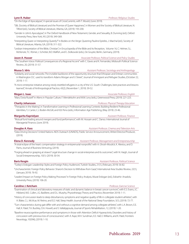"On the Edge of Apocalypse", A special issues of CrossCurrents, with T. Mould, (June 2019).

- "SBL (Society of Biblical Literature) and the Promise of Queer Happiness", in Women and the Society of Biblical Literature, N. Tilford (ed.), Society of Biblical Literature, Atlanta, GA, (2019): 193-200.
- "Gender in John's Apocalypse", in The Oxford Handbook of New Testament, Gender, and Sexuality, B. Dunning (ed.), Oxford University Press, New York, NY, (2019): 349-369.
- "Interpreting Queer or Interpreting Queerly?" in Bodies on the Verge: Queering Pauline Epistles, J. Marchal (ed.), Society of Biblical Literature, Atlanta, GA, (2019): 311-322.
- "Lesbian Interpretation of the Bible, Christian", in Encyclopedia of the Bible and its Reception, Volume 16, C. Helmer, S.L. McKenzie, T.C. Römer, J. Schröter, B.D. Walfish, and E. Ziolkowski (eds.), De Gruyter, Berlin, Germany, (2019).

**Jason A. Husser** *Associate Professor, Political Science and Policy Studies*

"The Southern Voice: Political Consequences of a Regional Accent" with C. Eaves and K. Fernandez, Midsouth Political Science Review, 20, (2019): 31-57.

**Mussa S. Idris** *Assistant Professor, Sociology and Anthropology* 

"Solidarity and social networks: The invisible backbone of the opportunity structure that Ethiopian and Eritrean communities in Washington D.C. used to transform Adams Morgan and U Street", Journal of Immigrant and Refugee Studies, (October 22, 2019): 1-17.

"A micro-enterprise initiative among newly resettled refugees in a city of the U.S. South: Challenges, best practices and lessons learned", Annals of Anthropological Practice, 43(2), (November 1, 2019): 39-52.

### **Megan L. Isaac** *Associate Professor, English*

"Mary Doria Russell" in Aliens in Popular Culture, F. Mendelsohn and M.M. Levy (eds.), Greenwood Press, (2019): 221-223.

**Charity Johansson** *Professor, Physical Therapy Education*

"Therapists in the Making", in Transformative Learning in Professional Learning Contexts: Building Resilient Professional Identities, T.J. Carter, C.J. Boden-McGill, and K.B. Peno (eds.), Information Age Publishing, (May 2019): 23-46.

### **Margarita Kaprielyan** *Assistant Professor, Finance*

 "Mutual fund trading around mergers and fund performance", with M. Hossain and C. Danso. International Journal of Managerial Finance, (June 2019).

**Douglas A. Kass** *Assistant Professor, Cinema and Television Arts**Assistant Professor, Cinema and Television Arts* 

"Data Driving Decisions" United Nations AIDS Outreach (UNAIDS), Public Service Announcement, Writer/Director/Producer, (2019).

**Elena D. Kennedy** *Assistant Professor, Management and Entrepreneurship*

"A total eclipse of the heart: compensation strategy in entrprenurial nonprofits" with A. Ghosh-Moulick, K. Alexiou, and D. Parris, Journal of Business Venturing, (2019).

"Forging ahead or grasping at straws? Legal structure change in social enterprises and its outcomes", with N. Haigh, Journal of Social Entrepreneurship, 10(1): (2019): 30-54.

### **Baris Kesgin** *Assistant Professor, Political Science*

"Turkey's Erdogan: Leadership Styles and Foreign Policy Audiences", Turkish Studies, 21(1), (February 2019): 56-82.

"Uncharacteristic Foreign Policy Behavior: Sharon's Decision to Withdraw from Gaza", International Area Studies Review, 22(1), (January 2019): 76-92.

"Leaders' Impact on Foreign Policy Making Processes" in Foreign Policy Analysis, Murat Erdogan (ed.), Eskisehir: Anadolu University Press, (2019): 106-20.

### **Caroline J. Ketcham** *Professor, Exercise Science*

"Examination of clinical and laboratory measures of static and dynamic balance in breast cancer survivors", with E.S. Evans, J.C. Hibberd, M.E. Cullen, J.G. Basliliere, and D.L. Murphy, Physiotherapy Theory and Practice, (November 2019): 1-11.

"History of concussion leads to sleep disturbances, symptoms and negative quality of life in collegiate student-athletes", with A. Blake, C.L. McVicar, M. Retino, and E.E. Hall, Sleep Health: Journal of the National Sleep Foundation, 5(1), (2019): 72-77.

"Turn characteristics during gait differ with and without a cognitive demand among collegiate athletes", with L.A. Brown, E.E. Hall, K. Patel, T.A. Buckley, D.A. Howell, and S. Vallabjajosula, Journal of Sports Rehabilitation, 12, (2019): 1-20.

"Baseline neurocognitive performance and symptoms in those with Attention Deficit Hyperactivity Disorders and history of concussion with previous loss of consciousness", with A. Kaye, M.H. Sundman, E.E. Hall, E. Williams, and K. Patel, Frontiers Neurology, 10(396), (2019): 1-10.

### **Lynn R. Huber** *Professor, Religious Studies*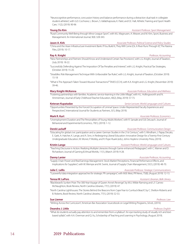"Neurocognitive performance, concussion history and balance performance during a distraction dual-task in collegiate student-athletes", with G.D. Cochrane, L. Brown, S. Vallabhajosula, K. Patel, and E.E. Hall, Athletic Training and Sport Health Care, 11(2), (2019): 90-96

### **Young Do Kim** *Assistant Professor, Sport Management*

"Rural Community Well-Being through Minor League Sport", with M.J. Magnusen, A. Weaver, and M. Kim, Sport, Business and Management: An International Journal, 9(4): 328-343.

"China and the Asian Infrastructure Investment Bank: If You Build It, They Will Come (Or, A River Runs Through It)", The Raisina Files, (2019): 10-17.

"New Partnerships and Partners Should Know and Understand Certain Tax Provisions", with L.G. Knight, Journal of Taxation, (July 2019): 18-22.

"Successfully Defending Against The Imposition Of Tax Penalties and Interest", with L.G. Knight, Practical Tax Strategies, (October 2019): 15-20.

"Straddles: Risk Management Technique With Unfavorable Tax Rules", with L.G. Knight, Journal of Taxation, (October 2019): 15-18

"What Is The Approach Taken Toward Abusive Transactions?" TAXES (CCH), with K.A. Knight and L.G. Knight, (November 2019): 39-46.

### **Mary Knight-McKenna** *Associate Professor, Education and Wellness*

"Fostering partnerships with families: Academic service-learning in the Little Village", with H.L. Hollingsworth and N. Ammerman, Journal of Early Childhood Teacher Education, 40(2), (May 2019): 57-73.

### **Ketevan Kupatadze** *Senior Lecturer, World Languages and Cultures*

"Opportunities Presented by the Forced Occupation of Liminal Space: Under-Represented Faculty Experiences and Perspectives", International Journal for Students as Partners, 3(1), (May 2019).

**Mark R. Kurt** *Associate Professor, Economics*

"Unemployment Duration and The Personalities of Young Adults Workers", with R. Sansale and S.B. DeLoach. Journal of Behavioral and Experimental Economics, 79(1), (2019): 1-12.

### **Derek Lackaff** *Associate Professor, Communication Design*

"Educating for global civic participation and a career: German Studies in the 21st Century", with S. Windham, J. Papay Decato, E. Gatti, A. Hatcher, K. Lange, and A. Sinn, in Redesigning Liberal Education: Innovative Design for a Twenty-First-Century Undergraduate Education, W. Moner, P. Motley, and R. Pope-Ruark (eds.), Johns Hopkins University Press, (2019).

### **Kristin Lange** *Assistant Professor, World Languages and Cultures*

"Teaching Discourse in Action: Realizing Multiple Literacies through Game-enhanced Pedagogies", with C. Warner and D. Richardson; Journal of Gaming & Virtual Worlds, 11(1), (March 2019): 9-28.

"Supply Chain Power and Real Earnings Management: Stock Market Perceptions, Financial Performance Effects, and Implications for Suppliers", with W. Wempe and M. Swink, Journal of Supply Chain Management, 55(1), (2019): 48-70.

"5 powerful data integration approaches for strategic PR campaigns", with M.B. West, PR News, 75(8), (August 2019): 12-13.

"Blackbeard's Sunken Prize: The 300-Year Voyage of Queen Anne's Revenge", by M.U. Wilde-Ramsing and L.F. Carnes-McNaughton, Book Review, North Carolina Libraries, 77(1), (2019): 47.

### "North Carolina Lighthouses: The Stories Behind the Beacons from Cape Fear to Currituck Beach", by C. Shelton-Roberts and B. Roberts, Book Review, North Carolina Libraries, 77(1), (2019): 52-53.

### **Sue Liemer** *Professor, Law*

"Writing Across the Curriculum", American Bar Association Sourcebook on Legal Writing Programs, 3d ed., (2019.)

### **Deandra J. Little** *Professor, English*

"What do students actually pay attention to and remember from a syllabus?: An eye-tracking study of visually rich and textbased syllabi", with A.A. Overman and Q. Xu, Scholarship of Teaching and Learning in Psychology, (August 2019).

**Danny Lanier** *Associate Professor, Accounting*

**Julie C. Lellis** *Associate Professor, Strategic Communications*



### **Jason A. Kirk** *Associate Professor, Political Science and Policy Studies*

**Ray A. Knight** *Professor, Accounting*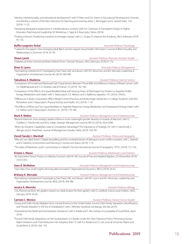"Identity, intersectionality, and educational development", with P. Felten and D.A. Green, in Educational Development: Diversity and Identity, a volume of the New Directions for Teaching and Learning series, L. Bernhagen and E. Gravett (eds.), 159, (2019): 11-23.

"Designing transparent assignments in interdisciplinary contexts", with A.A. Overman, in Transparent Design in Higher Education Teaching and Leadership, M. Winkelmas, S. Tapp & A. Boye (eds.), Stylus, (2019).

"Finding a fulcrum: Positioning ourselves to leverage change", with L.L. Grupp, To Improve the Academy, 38(1), (February 2019): 95-110.

**Buffie Longmire-Avital** *Associate Professor, Psychology*

"'I asked for the papers': How emerging adult Black women request sexual health information", Journal of Black Sexuality and Relationships, 6, (Summer 2019): 29 -40.

### **Shaun Lynch** *Assistant Professor, Physician Assistant Studies* "Diabetes and the Commercial Motor Vehicle Driver", Clinician Reviews, 29(2), (February 2019):15-17e.

## **Brian D. Lyons** *Associate Professor, Management*

"Normalizing mistreatment? Investigating Dark Triad, LMX, and abuse", with R.H. Moorman and B.K. Mercado, Leadership & Organization Development Journal, 40, (2019): 369-380.

**Takudzwa A. Madzima** *Assistant Professor, Exercise Science*

"Comparison of Forward and Backward Gait Characteristics Between Those With And Without a History of Breast Cancer", with S.V. Vallabhajosula and C.D. Deaterly, Gait & Posture, 74, (2019): 162-168.

- "Comparison of the Effects of a Liquid Breakfast Meal with Varying Doses of Plant-based Soy Protein on Appetite Profile, Energy Metabolism and intake", with S. Nepocatych, C.E. Melson, and G. Balilionis, Appetite, 141, (2019): 104322.
- "Differences in Body Composition Affect Weight Control Practices and Body Image Satisfaction in College Students", with M.H. Richardson and S. Nepocatych, Physical Activity and Health, 3(1), (2019): 1–10.
- "The Effects of Whey and Soy Liquid Breakfast on Appetite Response, Energy Metabolism and Subsequent Energy intake", with C.E. Melson and S. Nepocatych, Nutrition, 61, (2019): 179-186.

### **Mark R. Mallon** *Assistant Professor, Management and Entrepreneurship*

"Beyond tokenism: How strategic leaders influence more meaningful gender diversity on boards of directors", with O. Guldiken, S. Fainshmidt, and W.Q. Judge, Strategic Management Journal, 40(12), (2019): 2024-2046.

"When do Dynamic Capabilities Lead to Competitive Advantage? The Importance of Strategic Fit", with S. Fainshmidt, L. Wenger, and A. Pezeshkan, Journal of Management Studies, 56(4), (2019): 758-787.

### **David (Sandy) J. Marshall** *Assistant Professor, History and Geography**Assistant Professor, History and Geography*

"Why are 'we' called 'them'?: Digital storytelling and the contested terrain of dialogue in post-conflict societies", with L. Staeheli and V. Čelebičić, Environment and Planning D: Society and Space, (2019): 1-19.

"The state of Palestinian youth–commentary to Habashi", Fennia-International Journal of Geography, 197(1), (2019): 151-154.

**Kristen L. Mazur** *Assistant Professor, Mathematics and Statistics*

"An Equivariant Tensor Product on Mackey Functors", with M. Hill, Journal of Pure and Applied Algebra, 223 (December 2019): 5310-5345.

**Sean R. McMahon** *Associate Professor, Management and Entrepreneurship*

"Lean data: How small insights drive big data innovation", Organizational Dynamics, 48(1), (2019), 56-62.

**Brittany K. Mercado** *Assistant Professor, Management and Entrepreneurship*

"Normalizing mistreatment? Investigating Dark Triad, LMX, and Abuse", with B.D. Lyons and R.H. Moorman, Leadership and Organization Development Journal, 40(3), (2019): 369-380.

### **Jessica A. Merricks** *Assistant Professor, Biology*

"City Planners at Work: 4th graders research an ideal location for their garden", with D. Lankford, Science and Children, 56(5), (January 2019): 56-63.

### **Carmen C. Monico** *Commence <b>Carmen C. Monico Assistant Professor, Human Service Studies*

"Group and Child–Family Migration from Central America to the United States: Forced Child–Family Separation, Reunification, and Pseudo Adoption in the Era of Globalization", with J. Méndez-Sandoval, Genealogy, 3(4), 68, (2019).

"International Aid, Relief, and Humanitarian Assistance", with K. Rotabi and T. Abu Sarhan, Encyclopedia of Social Work, (April 2019).

"Forced Child-Family Separations on the Southwestern U.S. Border Under the "Zero-Tolerance" Policy: Preventing Human Rights Violations and Child Abduction Into Adoption (Part 1)", with K.S. Rotabi and J.S. Lee, Journal of Human Rights and Social Work, 4, (2019): 164–179.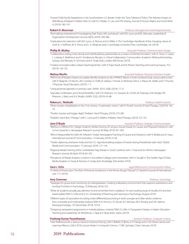"Forced Child-Family Separations in the Southwestern U.S. Border Under the "Zero-Tolerance" Policy: The Adverse Impact on Well-Being of Migrant Children (Part 2)", with K.S. Rotabi, J.S. Lee, and Y.M. Vissing, Journal of Human Rights and Social Work, 4, (2019): 180–191.

### **Robert H. Moorman** *Professor, Management and Entrepreneurship*

"Normalizing mistreatment? Investigating Dark Triad, LMX, and abuse", with B.D. Lyons and B.K. Mercado, Leadership & Organization Development Journal, 40(3), (2019): 369-380.

"Implications for selection", with B.D. Lyons, A. Alonso, and A. Miller, in The Cambridge Handbook of the changing nature of work, B. J. Hoffman, M. K. Shoss, and L. A. Wegman (eds.), Cambridge University Press, Cambridge, UK, (2019).

### **Phillip M. Motley** *Associate Professor, Communication Design*

"Collaborative writing: Intercultural and interdisciplinary partnerships as a means of identity formation", with A. Divan, V. Lopes, L. Ludwig, K. Matthews, and A. Tomljenovic-Berube, in Critical Collaboration Communities: Academic Writing Partnerships, Groups, and Retreats, N. Simmons and A. Singh (Eds.), Leiden: Brill Sense, (2019).

"Creative innovation takes a (team teaching) family", with R. Pope-Ruark and W. Moner, Teaching and Learning Inquiry, 7(1), (2019): 120-135.

### **Melissa Murfin** *Associate Professor, Physician Assistant Studies*

"PAEA End of Rotation Exams accurately identify students at risk of PANCE failure: a multi-centered study using scaled scores", with R. Baginski, S.R. Buchs, J.M. Coombs, D. Duffy, B. Garbas, T. Honda, A. Moloney-Johns, Z. Mazur, M. Statler, and T. Thurnes, J Physician Assist Education, (2019): 1–7.

"Using pharmacogenetics in primary care", JAAPA. 2019, 32(8), (2019): 17-21.

"Specialty Certification and Clinical Flexibility", with E.D. Peterson, S.S. Hussaini, B.J. Smith, M. Polansky, A.M. Klingler, P.R. Peterson, J. Mast, and K.A. Wright, JAAPA, 32(3), (2019): 43-48.

### **Rebecca L. Neiduski** *Professor, Health Sciences*

"Flexor tendon rehabilitation in the 21st century: A systematic review", with R. Powell, Journal of Hand Therapy, 32(2019): 165- 74.

"Tendon injuries and trigger digits", Pediatric Hand Therapy, (2019): 273-285.

"Pediatric Hand Burn Therapy", with C. Levis and D. Waltho, Pediatric Hand Therapy, (2019): 321-331.

**Jane O'Boyle** *Assistant Professor, Strategic Communications*

"#MeToo is Different for College Students: Media Framing of Campus Sexual Assault, Its Causes and Proposed Solutions", with Jo-Yun Queenie Li, Newspaper Research Journal, 40 (May 2019): 431-450.

- "Who Is Responsible for Delhi Air Pollution? Indian Newspapers' Framing of Causes and Solutions", with N. Bhalla and D. Haun, International Journal of Communication, 13 (January 2019): 41-64.
- "Twitter diplomacy between India and the U.S.: Agenda-building analysis of tweets during Presidential state visits", Global Media and Communication, 15 (January 2019): 121-134.
- "Regional Media Framing of the Confederate Flag Debate in South Carolina", with C. Frear and Se-Hill Kim, Newspaper Research Journal, 40 (April 2019): 83-105.

"Prevalence of Media Analytics Content in Accredited Colleges and Universities", with A. Sturgill, in The Golden Age of Data: Media Analytics in Study & Practice, D. Grady (ed.), Routledge, (December 2019).

**Sara L. Ochs** *Legal Method and Communication Fellow*

"In Need of Prosecution: The Role of Personal Jurisdiction in the Khmer Rouge Tribunal", 55 Stanford Journal of International Law 117, (2019).

### **Amy Overman** *Professor, Psychology*

- "Strategies for group-level mentoring of undergraduates: Creating a laboratory environment that supports publications and funding." Frontiers in Psychology, 10 (February 2019): 323.
- "What do students actually pay attention to and remember from a syllabus?: An eye-tracking study of visually rich and textbased syllabi." With D. Little and Q. Xu. Scholarship of Teaching and Learning in Psychology, (August 2019).

"Different types of associative encoding evoke differential processing in both younger and older adults: evidence from univariate and multivariate analyses." With N.A. Dennis, C.R. Gerver, K.E. McGraw, M.A. Rowley, and J.M. Salerno. Neuropsychologia, 135 (December 2019): 10724.

Learning Alliance, GALA 2018, Lecture Notes in Computer Science, 11385, Springer, Cham, (January 2019).

"Designing transparent assignments in interdisciplinary contexts." With D. Little, in Transparent Design in Higher Education Teaching and Leadership. M. Winkelmas, S. Tapp & A. Boye (eds.), Stylus, (2019).

### **Pratheep Kumar Paranthaman** *Assistant Professor, Computer Science*

"User Preferences for a Serious Game to Improve Driving", with F. Bellotti, R. Berta, G. R. Dange and A. De Gloria, Games and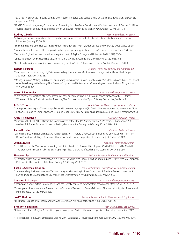"REAL: Reality-Enhanced AppLied-games", with F. Bellotti, R. Berta, G. R. Dange and A. De Gloria, IEEE Transactions on Games, (September 2019).

"ARAPID: Towards Integrating Crowdsourced Playtesting into the Game Development Environment", with S. Cooper, CHI PLAY '19: Proceedings of the Annual Symposium on Computer-Human Interaction in Play, (October 2019): 121–133.

**Rodney L. Parks** *Assistant Professor, Registrar*

"7 things you should know about the comprehensive learner record", with J.E. Shendy, J. Grann, M. Leuba, and T. Green, Educause, (January 23, 2019).

"The emerging role of the registrar in enrollment management", with A. Taylor, College and University, 94(2), (2019): 25-30.

"Comprehensive learner profiles: Helping faculty improve pedagogy in the classroom", Educause Review, (June 6, 2019).

"Credential Engine: Use case scenarios for registrars", with A. Taylor, College and University, 94(2), (2019): 51-54.

"Critical languages and college choice", with H. Schulz & A. Taylor, College and University, 94 (3), (2019): 57-62.

"Transfer articulation: re-envisioning a common registrar tool", with A. Taylor and C. Hayes, AACRAO Connect, (2019).

**Robert T. Perdue** *Assistant Professor, Sociology and Anthropology**Assistant Professor, Sociology and Anthropology* 

"Gateway or Cul de Sac? Using Big Data to Assess Legal Recreational Marijuana and Changes in the Use of 'Hard' Drugs", Sociation, 18(2), (2019): 20-28.

"Making Criminals, Making Ends Meet: Constructing Criminality in Franklin County, Virginia", in Modern Moonshine: The Revival of White Whiskey in the Twenty-First Century, C. Lippard and B. Stewart (eds.), West Virginia University Press, Morgantown, WV, (2019): 85-106.

**Aaron T. Piepmeier** *Assistant Professor, Exercise Science*

"A preliminary investigation of acute exercise intensity on memory and BDNF isoform concentrations", with J.L. Etnier, L. Wideman, N. Berry, Z. Kincaid, and M.A. Weaver, The European Journal of Sport Science, (September, 2019): 1-12.

### **Federico Pous** *Assistant Professor, World Languages and Cultures*

"Los legados de Antígona. Violencia y política en Ni una menos, Argentina", in Criminal Papers: Women and Violence in Crime Fiction, E. Losada, M. Lama López and L. Resano (eds.), Universitat de Barcelona Editorial, Barcelona, Spain, (December 2019).

**Chris T. Richardson** *Associate Professor, Physics*

"Addressing the [O III] / Hβ Offset in the Dwarf Galaxies of the RESOLVE Survey", with M. S. Polimera, S.J. Kannappan, A.J. Moffett, A.S. Bittner, Monthly Notices of the Royal Astronomical Society, 486 (3), (July 2019): 3541–3549.

**Laura Roselle** *Professor, Political Science*

"Using Narratives to Shape Chinese and Russian Behavior – A Future of Global Competition and Conflict Virtual Think Tank Report", Strategic Multilayer Assessment Future of Great Power Competition & Conflict project, (October 2019).

**Joan D. Ruelle** *Associate Professor, Belk Library*

"SoTL Difference: The Value of Incorporating SoTL into Librarian Professional Development", with P. Felten and M. MacMillan, The Grounded Instruction Librarian: Participating in the Scholarship of Teaching and Learning, (2019): 245-256.

**Hwayeon Ryu** *Assistant Professor, Mathematics and Statistics*

"Geometric Analysis of Synchronization in Neuronal Networks with Global Inhibition and Coupling Delays", with S.A. Campbell, Philosophical Transactions of the Royal Society A, 337, (July 2019): 2153.

**Elisha C. Savchak-Trogdon** *Assistant Professor, Political Science and Policy Studies*

"Understanding the Determinants of Opinion Language Borrowing in State Courts", with J. Bowie, in Research Handbook on Law and Courts, S.M. Sterett and L.D. Walker (eds.), Northampton, MA, Edward Elgar, (2019): 267-279.

**Susanne E. Shawyer** *Assistant Professor, Performing Arts*

"Emancipated Spect-actors: Boal, Rancière, and the Twenty-first Century Spectator", Performance Matters, 5(2), (2019): 41-54.

"Emancipated Spectators in the Theatre History Classroom", Research in Drama Education: The Journal of Applied Theatre and Performance, 24(3), (2019): 420-425.

**Joel T. Shelton** *Assistant Professor, Political Science and Policy Studies*  "The Public Purpose of Political Economy", with S.G. Nelson, New Political Science, 41(3), (2019): 400-422.

**Brandon J. Sheridan** *Assistant Professor, Economics*

"Takeoffs and Trade Margins: A Quantile Regression Approach" with R. Bista and E. Figueiredo, Empirical Economics, (2019): 1-20.

"Heterogeneous Time Zone Effects and Exports" with R. Bista and E. Figueiredo, Economics Bulletin, 39(2), (2019): 1039-1046.

Publications 2019 17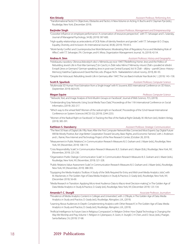**Kim Shively** *Assistant Professor, Performing Arts*

"Transformational Tactics" in Objectives, Obstacles and Tactics: A New Volume on Acting, H. Buchs and V. Clayman Pye (eds.), Routledge, New York, (December 2019).

### **Barjinder Singh** *Assistant Professor, Management and Entrepreneurship*

- "Coworker influence on employee performance: A conservation of resources perspective", with T.T. Selvarajan and S. Solansky, Journal of Managerial Psychology, 34 (8), (2019): 587-600.
- "High-quality relationships as antecedents of OCB: Roles of identity freedom and gender", with T.T. Selvarajan & O. Chapa, Equality, Diversity, and Inclusion: An International Journal, 38 (8), (2019): 793-813.

"Work-Family Conflict and Counterproductive Work Behaviors: Moderating Role of Regulatory Focus and Mediating Role of Affect", with T.T. Selvarajan, P.A. Cloninger, and K. Misra, Organization Management Journal, 16, (2019): 42-54.

**Andrea A. Sinn** *Assistant Professor, History and Geography*

"Holokaustu navzdory: Obnova židovských obcí v Německu po roce 1945" ["Redefining Home: Jews and the Politics of Rebuilding Jewish Life in Post-War Germany"] (in Czech), in Židé nebo Němci? Německy mluvící Židé v poválečné střední Evropě [Jews or Germans? German-speaking Jews in post-war Central Europe], Vol. VI: Židé – dějiny – paměť [Jews–History– Memory], Kateřina Čapková and David Rechter, eds. (Prague: NLN - Nakladatelství Lidové noviny, 2019), 80–93.

"Despite the Holocaust: Rebuilding Jewish Life in Germany after 1945", The Leo Baeck Institute Year Book 64, 1, (2019): 143–158.

**Scott R. Spurlock** *Assistant Professor, Computer Science* 

"Multimodal 3D Human Pose Estimation from a Single Image" with R. Souvenir, IEEE International Conference on 3D Vision, (September 2019): 663-670.

**Megan Squire** *Professor, Computer Science*

- " Network, Text, and Image Analysis of Anti-Muslim Groups on Facebook", Journal of Web Science, 7(1), (2019).
- "Understanding Gray Networks Using Social Media Trace Data", Proceedings of the 11th International Conference on Social Informatics, (2019): 202-217.
- "Which way to the wheat field? Women of the radical right on Facebook", Proceedings of the 52nd Hawaii International Conference on System Sciences (HICSS-52), (2019): 2244-2253.
- "Women of the Radical Right on Facebook", in Tracking the Rise of the Radical Right Globally. W. Allchorn (ed.), Ibidem-Verlag, (2019): 385-391.

**Kathleen S. Stansberry** *Assistant Professor, Strategic Communication*

- "The Next 50 Years of Digital Life: Fifty Years After the First Computer Network Was Connected Most Experts Say Digital Future Will Be Mostly Positive, But Urge Better Cooperation Toward Security, Basic Rights, and Economic Fairness", with J. Anderson and L. Rainie, Pew Internet and Technology Project of the Pew Research Center, (October 28, 2019).
- "Measurement in Public Relations", in Communication Research Measures III, E. Graham and J. Mazer (eds.), Routledge, New York, NY, (November, 2019): 108-119.
- "Crisis Responsibility Scale", in Communication Research Measures III, E. Graham and J. Mazer (Eds.), Routledge, New York, NY, (November, 2019): 225-230.
- "Organization-Public Dialogic Communication Scale", in Communication Research Measures III, E. Graham and J. Mazer (eds.), Routledge, New York, NY, (November, 2019): 321-328.
- "Public Relations Value Assessment Scale", in Communication Research Measures III, E. Graham and J. Mazer (eds.), Routledge, New York, NY, (November, 2019): 388-393.
- "Equipping the Media Analytics Toolbox: A Study of the Skills Required for Entry and Mid-Level Media Analytics Jobs", with M. Mackenzie, in The Golden Age of Data Media Analytics in Study & Practice, D. Grady (ed.), Routledge, New York, NY, (December 2019): 56-69.
- "Media Research in Transition: Applying Micro-level Audience Data to Macro-level Decision-making", in The Golden Age of Data Media Analytics in Study & Practice, D. Grady (ed.), Routledge, New York, NY, (December 2019): 125-134.

### **Amanda F. C. Sturgill** *Associate Professor, Journalism*

- "Prevalence of Media Analytics Content in Colleges and Universities", with J. O'Boyle, in The Golden Age of Data: Media Analytics in Study and Practice, D. Grady (ed.), Routledge, Abingdon, U.K., (2019).
- "Learning About Audiences In-Depth: Complementing Analytics with Other Research", in The Golden Age of Data: Media Analytics in Study and Practice, D. Grady (ed.), Routledge, Abingdon, U.K., (2019).
- "Artificial Intelligence: Its Future Uses in Religious Compassion", in Religion Online: How Digital Technology is Changing the Way We Worship and Pray, Volume 1: Religion in Cyberspace, A. Grant, A. Sturgill, C-H Chen, and D. Stout, (eds.), Praeger, Santa Barbara, CA, (2019): 57-68.

### 18 2019 Publications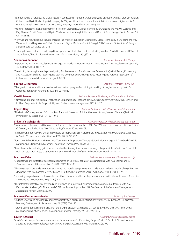"Introduction: Faith Groups and Digital Media: A Landscape of Adoption, Adaptation, and Disruption", with A. Grant, in Religion Online: How Digital Technology is Changing the Way We Worship and Pray. Volume 2: Faith Groups and Digital Media, A. Grant, A. Sturgill, C-H Chen, and D. Stout, (eds.), Praeger, Santa Barbara, CA, (2019): 1-9.

"Mainline Protestantism and the Internet", in Religion Online: How Digital Technology is Changing the Way We Worship and Pray. Volume 2: Faith Groups and Digital Media, A. Grant, A. Sturgill, C-H Chen, and D. Stout, (eds.), Praeger, Santa Barbara, CA, (2019): 28-38.

"New Age and New Religious Movements and the Internet", in Religion Online: How Digital Technology is Changing the Way We Worship and Pray. Volume 2: Faith Groups and Digital Media, A. Grant, A. Sturgill, C-H Chen, and D. Stout, (eds.), Praeger, Santa Barbara, CA, (2019): 267-276.

"Learning to lead: Factors in Leadership Development for Students in Co-Curricular Organizations", with B. Hannam, H. Vincent and K. Furnas, Teaching Journalism and Mass Communications, 19(2), (2019).

### **Shannon A. Tennant** *Associate Librarian, Belk Library*

"Report of the ALCTS Technical Services Managers of Academic Libraries Interest Group Meeting", Technical Services Quarterly, 36, (October 2019): 410-412.

"Developing Learning Partnerships: Navigating Troublesome and Transformational Relationships", with P. Felten, K. Meinking, and K. Westover, Building Teaching and Learning Communities: Creating Shared Meaning and Purpose, Association of College and Research Libraries, Chicago, IL, (2019).

**Sabrina L. Thurman** *Assistant Professor, Psychology*

"Changes in posture and interactive behaviors as infants progress from sitting to walking: A longitudinal study", with D. Corbetta, Frontiers in Psychology, 10, (April 2019): 822.

**Carri R. Tolmie** *Assistant Professor, Marketing and International Business*

"Formal and Informal Institutional Pressures on Corporate Social Responsibility: A Cross-Country Analysis", with K. Lehnert and H. Zhao, Corporate Social Responsibility and Environmental Management, (2019): 1-17.

**Kaye C. Usry** *Assistant Professor, Political Science and Policy Studies*

"The Political Consequences of Combat: Post Traumatic Stress and Political Alienation Among Vietnam Veterans", Political Psychology, 40 (October 2019): 1001-1018.

**Srikant Vallabhajosula** *Associate Professor, Physical Therapy Education* 

"Comparison of Forward and Backward Gait Characteristics Between Those With And Without a History of Breast Cancer" with C. Deaterly and T. Madzima, Gait & Posture, 74, (October 2019): 162-168.

- "Reliability and normative values of the Wheelchair Propulsion Test: A preliminary investigation" with W. Andrews, C. Ramsey, M. Smith, M. Lane, NeuroRehabilitation, 45(2), (2019): 229-237.
- "Functional Rehabilitation of a Person with Transfemoral Amputation Through Guided Motor Imagery: A Case Study" with R. Matalon and J. Freund, Physiotherapy Theory and Practice, (May 31, 2019): 1-10.

"Turn characteristics during gait differ with and without a cognitive demand among collegiate athletes" with L.A. Brown, E. E. Hall, C.J. Ketcham, K. Patel, T.A. Buckley, and D. R. Howell, Journal of Sport Rehabilitation, (March 2019): 1-20.

**Matthew Valle** *Professor, Management and Entrepreneurship*

"Understanding the effects of political environments on unethical behavior in organizations", with K.M. Kacmar and S. Zivnuska, Journal of Business Ethics, 156 (1), (2019): 173-188.

"Abusive supervision, leader-member exchange, and moral disengagement: A moderated-mediation model of organizational deviance", with K.M. Kacmar, S. Zivnuska, and T. Harting, The Journal of Social Psychology, 159 (3), (2019): 299-312.

"Promoting polyarchy and professionalism in officer character and leadership development", with D. Levy, Journal of Character & Leadership Development, 6 (1), (2019): 125-134.

"The interactive effects of role overload and resilience on family-work enrichment and associated outcomes", with K.M. Kacmar, M.A. Andrews, C.J. Tillman, and C. Cliftion, Proceedings of the 2019 Conference of the Southern Management Association, Norfolk, Virginia, (2019).

**Maureen Vandermaas-Peeler** *Professor, Psychology* "Bridging known and new: Inquiry and intersubjectivity in parent-child interactions", with L. Westerberg and H. Fleishman,

Learning, Culture, and Social Interactions, 21, (2019): 124-135.

"Parents' beliefs about children's play and nature experiences in Danish and U.S. contexts", with C. Dean, M.S. Biehl and A. Mellman, Journal of Adventure Education and Outdoor Learning, 19(1), (2019): 43-55.

### **Lauren F. Walker** *Assistant Professor, Exercise Science*

"Youth Sport: Unique Developmental Needs of Youth Athletes for Preventing Dropout", with D. Gould, APA Handbook for Sport and Exercise Psychology, American Psychological Association, Washington D.C., (2019).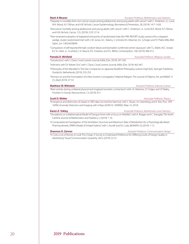"Disparity in mortality from non-cancer causes among adolescents and young adults with cancer", with C. Anderson, J.L. Lund, W.A. Wood, A.F. Olshan, and H.B. Nichols, Cancer Epidemiology, Biomarkers & Prevention, 28, (2019): 1417-1426.

- "Noncancer mortality among adolescents and young adults with cancer", with C. Anderson, J.L. Lund, W.A. Wood, A.F. Olshan, and H.B. Nichols, Cancer, 125, (2019): 2107-2114.
- "Peer reviewed evaluation of registered end-points of randomized trials (the PRE-REPORT study): protocol for a steppedwedge, cluster-randomized trial", with C.W. Jones, A.C. Adams, S. Schroter, B.S. Misemer, D.L. Schriger, and T.F. Platts-Mills, BMJ Open, Jun 1;9(5):e028694.

"Comparison of self-reported female condom failure and biomarker-confirmed semen exposure", with T.L. Walsh, M.C. Snead, B.J. St. Claire, J.L. Scwhartz, C.K. Mauck, R.G. Frezieres, and D.L. Blithe, Contraception, 100, (2019): 406-412.

### **Pamela D. Winfield** *Associate Professor, Religious Studies*

"Introduction", with S. Davis, CrossCurrents Journal, 69(4), (Dec 2019): 347-350.

- "Interview with Dr. Robert Orsi", with S. Davis, CrossCurrents Journal, 69(4), (Dec 2019): 462-467.
- "Philosophy of the Mandala" in The Dao Companion to Japanese Buddhist Philosophy, Gereon Kopf (ed.), Springer Publishers, Dordecht, Netherlands, (2019): 235-253.

"Shinnyo-en and the Formulation of a New Esoteric Iconography", Material Religion: The Journal of Objects, Art, and Belief, 15 (1), (April 2019): 27-53.

### **Matthew W. Wittstein** *Assistant Professor, Exercise Science*

"Brain activity during unilateral physical and imagined isometric contractions" with J.A. Martinez, S.F. Folger, and S.P. Bailey, Frontiers in Human Neuroscience, 13, (2019): 413

### **Scott D. Wolter** *Associate Professor, Physics*

"Emergence and distinction of classes in XRD data via machine learning", with C. Royse, J.A. Greenberg, and K. Roe, Proc. SPIE 10999, Anomaly Detection and Imaging with X-Rays (ADIX) IV, 109990D, (May 14, 2019).

**Karen A. Yokley** *Associate Professor, Mathematics and Statistics* **<b>***Associate Professor, Mathematics and Statistics* 

"Simulations on a Mathematical Model of Dengue Fever with a Focus on Mobility", with K. Reagan and C. Arangala, The North Carolina Journal of Mathematics and Statistics, 5, (2019): 1-16.

"A Computational Investigation of the Ventilation Structure and Maximum Rate of Metabolism for a Physiologically Based Pharmacokinetic (PBPK) Model of Inhaled Xylene", with J. Ascraft and N.S. Luke, BIOMATH, 8, (2019): 1-13.

**Shannon D. Zenner** *Assistant Professor, Communication Design*

"It Costs a Lot of Money to Look This Cheap: A Survey to Understand Preference for Differing Levels of Design Quality in Advertising". Visual Communication Quarterly, 26(1), (2019): 22-31.

2019 Publications

### **Mark A Weaver** *Assistant Professor, Mathematics and Statistics* **<b>***Assistant Professor, Mathematics and Statistics*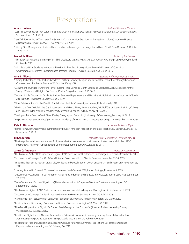## Presentations

**Adam L. Aiken** *Assistant Professor, Finance*

- "Let's Talk Sooner Rather Than Later: The Strategic Communication Decisions of Activist Blockholders", FMA Europe, Glasgow, Scotland, June 12-14, 2019.
- "Let's Talk Sooner Rather Than Later: The Strategic Communication Decisions of Activist Blockholders", Southern Finance Association Meetings, Orlando, FL, November 21-23, 2019.
- "Side-by-Side Management of Mutual Funds and Actively Managed Exchange Traded Funds", FMA, New Orleans, LA, October 24-26, 2019.

### **Meredith Allison** *Professor, Psychology*

- "Alibi Believability: Does the Timing of an Alibi's Disclosure Matter?", with S. Jung, American Psychology-Law Society, Portland, OR, March, 2019.
- "What Faculty Want Students to Know as They Begin their First Undergraduate Research Experience", Council on Undergraduate Research's Undergraduate Research Programs Division, Columbus, OH, June, 2019.

### **Amy L. Allocco** *Allocco**Associate Professor, Religious Studies**Associate Professor, Religious Studies*

- "Shifting Technologies of Reflection: Gendered Realities, Everyday Religion and Lessons for Feminist Mentoring," The Annual Conference on South Asia, Madison, WI, October 17-19, 2019.
- "Gathering the Ganges: Transferring Power in Tamil Ritual Contexts," Eighth South and Southeast Asian Association for the Study of Culture and Religion Conference, Dhaka, Bangladesh, June 13-16, 2019.
- "Goddess in Life, Goddess in Death: Aspiration, Gendered Expectations, and Narrative Multiplicity in Urban South India," South Asia Institute, Heidelberg University, June 6, 2019.

"Ritual Relationships with the Dead in South Indian Hinduism," University of Helsinki, Finland, May 8, 2019.

"Making the Dead Visible in the City: Urbanization and Hindu Ritual," Plenary Address, "Multipli'City of Spaces: Religion, Culture, and Urbanity in India" conference, University of Madras, Chennai, India, February 21-22, 2019.

"Dealing with the Dead in Tamil Ritual: Desire, Dialogue, and Deception," University of Oslo, Norway, February 14, 2019.

"Response: Power, Gender, Place," pan American Academy of Religion Annual Meeting, San Diego, CA, November 23-26, 2019.

**Kyle A. Altmann** *Associate Professor, Physics*

"Tiered Homework Assignments in Introductory Physics", American Association of Physics Teachers, NC Section, Durham, NC, November 16, 2019.

**Bill Anderson** *Associate Professor, Strategic Communications*

"The first public relations measurement?: How social reformers measured their communication materials in the 1920s," International History of Public Relations Conference, Bournemouth, UK, June 26-28, 2019.

### **Janna Q. Anderson** *Professor, Journalism*

"The Future of Artificial Intelligence and Digital Life", People's Internet Conference, Copenhagen, Denmark, December 6, 2019.

"Documentary Coverage: The 2019 Global Internet Governance Forum", Berlin, Germany, November 25-28, 2019.

- "Imagining the Next 50 Years of Digital Life", UN-facilitated Global Internet Governance Forum, Berlin, Germany, November 25, 2019.
- "Looking Back to Go Forward: 50 Years of the Internet", Web Summit 2019, Lisbon, Portugal, November 5, 2019.
- "Documentary Coverage: The 2017 Internet Hall of Fame Induction and Inductee Interviews", San Jose, Costa Rica, September 27, 2019.
- "Code-Dependent: Future of Algorithms", National Association of Corporate Directors Conference, Washington, DC, September 24, 2019.
- "The Future of Digital Life", U.S. State Department International Visitors Program, Washington, DC, September 11, 2019.
- "Documentary Coverage: The Tenth Internet Governance Forum-USA", Washington, DC, July 25, 2019.
- "Navigating a Post-Factual World", Consumer Federation of America Assembly, Washington, DC, May 9, 2019.
- "Trust, Facts, and Democracy", Computers in Libraries Conference, Arlington, VA, March 28, 2019.
- "The Global Expansion of Digital Life: Future of Well-Being and the Future of AI", Internet Society Leadership Forum, Washington, DC, March 7, 2019.
- "Trust in the Digital Future", National Academies of Sciences' Government University Industry Research Roundtable on Authenticity, Integrity and Security in a Digital World, Washington, DC, February 20, 2019.
- "The Future of Jobs and Job Training", Missions Publiques Autonomous Vehicles Six-Nations Deliberative Dialogues Preparation Forum, Washington, DC, February 14, 2019.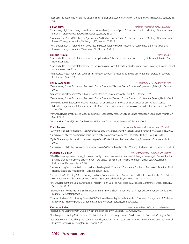"Techlash: The Reckoning for Big Tech", Netherlands Foreign and Economic Ministries Conference, Washington, DC, January 31, 2019.

### **Bill Andrews** *Professor, Physical Therapy Education*

"Comparing High Functioning Users Between Wheelchair Types and Speeds", Combined Sections Meeting of the American Physical Therapy Association, Washington, DC, January 25, 2019.

- "Normative Gait Speed Stratified by Age and Sex: An Updated Meta-Analysis", Combined Sections Meeting of the American Physical Therapy Association, Washington, DC, January 26, 2019.
- "Neurologic Physical Therapy from 10,000 Feet: Implications for Individual Practice", Fall Conference of the North Carolina Physical Therapy Association, Wilmington, NC, October 4, 2019.

### **Enrique Armijo** *Professor, Law*

"One-and-a-Half Cheers for Internet Speech Exceptionalism", C. Boyden Gray Center for the Study of the Administrative State, November 2019.

- "One-and-a-Half Cheers for Internet Speech Exceptionalism", Constitutional Law Colloquium, Loyola University Chicago School of Law, November 2019.
- "Fainthearted First Amendment Lochnerism", Yale Law School Information Society Project Freedom of Expression Scholars' Conference, April 2019.

### **Renay L. Aumiller** *Assistant Professor, Performing Arts*

"De-centering Power: Students as Partners in Dance Education", National Dance Educators Organization, Miami, FL, October 2019.

"Images for a Healthy Spine", Wake Forest Dance Medicine Conference, Wake Forest, NC, October 2019.

"De-centering Power: Students as Partners in Dance Education", Somatic Dance Educators Conference, Geneva, NY, July 2019.

- "If We Build It...Will They Come? How to Integrate Somatic Education into College Dance Curriculum", National Dance Educators Organization/International Somatic Movement Education and Therapy Association Conference, New York, NY, June 2019.
- "Advanced level Somatic-Based Modern Technique", Southeast American College Dance Association Conference, Atlanta, GA, March 2019.

"What is a Bad Dance?", North Carolina Dance Educators Organization, Raleigh, NC, February 2019.

**Chad Awtrey** *Associate Professor, Mathematics and Statistics*

"Symmetries of polynomial roots", Mathematics Colloquium Series, Randolph-Macon College, Ashland, VA, October 18, 2019. "Galois groups of even quartics and doubly even octic polynomials", MathFest, Cincinnati, OH, July 31-August 3, 2019.

"Cyclic Eisenstein polynomials of p-power degree", AMS/MAA Joint Mathematics Meetings, Baltimore, MD, January 16-19, 2019.

"Galois groups of doubly even octic polynomials", AMS/MAA Joint Mathematics Meetings, Baltimore, MD, January 16-19, 2019.

| Stephanie L. Baker |  |  |
|--------------------|--|--|
|                    |  |  |
|                    |  |  |

**Stephanie L. Baker** *Assistant Professor, Public Health Studies*

- "'I feel like I was a pioneer in a way, in my own family context, to show the beauty of birthing at home again', Out-of-Hospital Birthing Experiences among Black Women", For Science. For Action. For Health., American Public Health Association, Philadelphia, PA, November 2-6, 2019.
- "Understanding Social Media's Impact on Breastfeeding Black Millennials", For Science. For Action. For Health., American Public Health Association, Philadelphia, PA, November 2-6, 2019.
- "From CHA to CHIP: Using CBPR to Strengthen Local Community Health Assessments and Implementation Plans", For Science. For Action. For Health., American Public Health Association, Philadelphia, PA, November 2-6, 2019.
- "The Development of a Community Doula Program", North Carolina Public Health Association Conference, Greensboro, NC, September 2019.
- "Experiences of Home Birth and Birthing Center Births Among Black Women", with C. Miller, Black Communities Conference, Durham, NC, September 2019.
- "Community Based Participatory Research (CBPR): Shared Power, Equitable Partnerships, Sustained Change", with A. Meletzke, Pathways to Achieving Civic Engagement Conference, Greensboro, NC, February 2019.

### **Katherine Baker** *Assistant Professor, Education and Wellness*

"Teaching and Learning Math Outside", Math and Science Summit, Raleigh, NC, August 2019.

- "Teaching and Learning Math Outside", North Carolina State University Summer Garden Institute, Concord, NC, August 2019.
- "Towards a Heuristic: Teaching and Learning Outside", North American Association for Environmental Education 16th Annual Research Symposium, Lexington, KY, October 2019.

### 2019 Presentations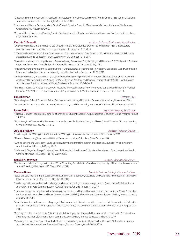- "Numbers and Nature: Exploring Math Outside", North Carolina Council of Teachers of Mathematics Annual Conference, Greensboro, NC, November 2019.
- "A Lesson Plan is Not Lesson Planning", North Carolina Council of Teachers of Mathematics Annual Conference, Greensboro, NC, November 2019.

**Cynthia C. Bennett** *Assistant Professor, Physician Assistant Studies*

- "Cultivating Empathy in the Anatomy Lab through Work with Anatomical Donors", 2019 Physician Assistant Educators Association Annual Education Forum, Washington DC, October 10-13, 2019.
- "It Takes a Village: Creating Cultural Competence in Transgender Health Care Curricula", 2019 Physician Assistant Educators Association Annual Education Forum, Washington DC, October 10-13, 2019.
- "Illustrative Anatomy: Teaching Dynamic Anatomy Using Anatomical Body Painting and Ultrasound", 2019 Physician Assistant Educators Association Annual Education Forum, Washington DC, October 10-13, 2019.
- "Illustrative Anatomy (Anatomical Body Painting + Ultrasound) as a Teaching Tool in Anatomy Education", World Congress on Ultrasound in Medical Education, University of California at Irvine, September 12-15, 2019.
- "Cultivating Empathy in the Anatomy Lab: A Pilot Study Observing the Trends in Emotional Expressions During the Human Anatomical Dissection Course Among First Year Physician Assistant and Physical Therapy Students", 2019 North Carolina Association of Physician Assistants Winter Conference, Durham NC, Feb 2019.
- "Training Students to Practice Transgender Medicine: The Application of Flow Theory and Standardized Patients in Medical Education", 2019 North Carolina Association of Physician Assistants Winter Conference, Durham NC, Feb 2019.

### **Luke Bierman** *Professor, Law*

"Attending Law School: Curricular Reform," AccessLex Institute Legal Education Research Symposium, November 2019.

"Innovations in Learning and Assessment," Live with Kellye and Ken monthly webcast, SEALS Annual Conference, July 2019.

**Lynne Bisko** *Associate Librarian, Belk Library*

"Personal Librarian Programs: Building Relationships for Student Success", ACRL Leadership Discussion Group Webinar, August 14, 2019.

"Right Now, in a Classroom Far, Far Away: Librarian Support for Students Studying Abroad", North Carolina Distance Learning Section, Sanford, NC, January 10, 2019.

### **Julia N. Bleakney** *Assistant Professor, English*

"Leadership in the Writing Center", International Writing Centers Association, Columbus, Ohio, October 2019.

"The Art of Mentoring", International Writing Centers Association, Columbus, Ohio, October 2019.

- "Writing Beyond the University: Future Directions for Writing Transfer Research and Practice", Council of Writing Program Administrators, Baltimore, MD, July 2019.
- "We're in this Together: Deep Collaboration with Library Building Partners", Librarians' Association of the University of North Carolina at Chapel Hill, Chapel Hill, NC, March 2019.

### **Randall H. Bowman** *Assistant Librarian, Belk Library Assistant Librarian, Belk Library*

"Archives and Exhibits: Things to Consider When Mounting An Exhibit in a Small Archive", Society of North Carolina Archivists Annual Meeting, Wilmington, NC, March 13-15, 2019.

### **Vanessa Bravo** *Associate Professor, Strategic Communications*

"State-diaspora relations in the cases of the governments of El Salvador, Costa Rica and Colombia, in comparison to Mexico", Diaspora Studies Series, Mexico D.F., October 10, 2019.

- "Leadership 101: Lessons learned, challenges addressed and things that make us go hmmm", Association for Education in Journalism and Mass Communication (AEJMC), Toronto, Canada, August 7-10, 2019.
- "Perpetual foreigners: Negotiating the framing of Puerto Rico and Puerto Ricans via Twitter after Hurricane Maria", Association for Education in Journalism and Mass Communication (AEJMC), Minorities and Communication Division, Toronto, Canada, August 7-10, 2019.
- "YouTube's content influence on college-aged Black women's decision to transition to natural hair", Association for Education in Journalism and Mass Communication (AEJMC), Minorities and Communication Division, Toronto, Canada, August 7-10, 2019.
- "A Foreign Problem or a Domestic Crisis? U.S. Media Framing of the Aftermath Hurricane Maria in Puerto Rico", International Studies Association (ISA), International Communication Division, Toronto, Canada, March 26-30, 2019.
- "Analyzing the experiences of Latinx students at a predominantly White institution in the U.S. South", International Studies Association (ISA), International Education Division, Toronto, Canada, March 26-30, 2019.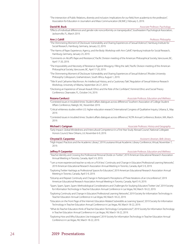"The intersection of Public Relations, diversity and inclusion: Implications for our field, from academia to the profession", Association for Education in Journalism and Mass Communication (AEJMC), February 5, 2019.

**David M. Buck** *Associate Professor, Psychology*

"Effects of individual differences and gender role nonconformity on transprejudice", Southeastern Psychological Association, Jacksonville, FL, March 2019.

**Ann J. Cahill** *Professor, Philosophy*

- "The Shimmering Moment of Disclosure: Vulnerability and Sharing Experiences of Sexual Violence", Hamburg Institute for Social Research, Hamburg, Germany, January 22, 2019.
- "The Harms of Rape: Experience, Agency, and the Body: Workshop with Ann Cahill", Hamburg Institute for Social Research, Hamburg, Germany, January 23, 2019.
- "Comments on Alcoff's Rape and Resistance", Pacific Division meeting of the American Philosophical Society, Vancouver, BC, April 17-20, 2019.
- "The Impossibility and Necessity of Resistance Against Misogyny: Filling the Jails", Pacific Division meeting of the American Philosophical Society, Vancouver, BC, April 17-20, 2019.
- "The Shimmering Moment of Disclosure: Vulnerability and Sharing Experiences of Sexual Violence", Rhodes University Philosophy Colloquium, Grahamstown, South Africa, August 1, 2019.
- "Title IX and Catharine MacKinnon: An Intellectual History, and a Cautionary Tale", Regulation of Sexual Violence Research Workshop, University of Alberta, September 26-27, 2019.
- "Disclosing an Experience of Sexual Assault: Ethics and the Role of the Confidant", Feminist Ethics and Social Theory Conference, Clearwater, FL, October 3-6, 2019.

**Rozana Carducci** *Associate Professor, Education and Wellness*

- "Contested issues in troubled times: Student affairs dialogues across difference," Southern Association of College Student Affairs Conference, Raleigh, NC, November 2019.
- "Critical whiteness studies within U.S. higher education research," International Congress of Qualitative Inquiry, Urbana, IL, May 2019.

"Contested issues in troubled times: Student affairs dialogues across difference," ACPA Annual Conference, Boston, MA, March 2019.

### **Michael I. Carignan** *Associate Professor, History and Geography*

"Early Impact: Global Mindedness and Intercultural Competence in a First-Year Study Abroad Course", National Collegiate Honors Council, New Orleans, LA, November 6-9, 2019.

### **Chrystal D. Carpenter** *Assistant Librarian, Belk Library*

"High Impact Practices and the Academic Library", 2019 Louisiana Virtual Academic Library Conference, Virtual, November 7, 2019.

### **Jeffrey P. Carpenter** *Associate Professor, Education and Wellness*

- "Teacher Identity and Crossing the Professional-Personal Divide on Twitter", 2019 American Educational Research Association Annual Meeting in Toronto, Canada, April 5-9, 2019.
- "'I am a more experienced teacher so rely on a PLN less': Continuity and Change in Educators' Professional Learning Networks", 2019 American Educational Research Association Annual Meeting in Toronto, Canada, April 5-9, 2019.
- "Exploring Twitter Hashtags as Professional Spaces for Educators", 2019 American Educational Research Association Annual Meeting in Toronto, Canada, April 5-9, 2019.
- "Edcamp and Repeat: Continuity and Change in Participant's Perceptions of Three Iterations of an Unconference", 2019 American Educational Research Association Annual Meeting in Toronto, Canada, April 5-9, 2019.
- "Spam, Spam, Spam, Spam: Methodological Considerations and Challenges for Studying Educators' Twitter Use", 2019 Society for Information Technology in Teacher Education Annual Conference in Las Vegas, NV, March 18-22, 2019.
- "Exploring Continuity and Change in Educators' Professional Learning Networks", 2019 Society for Information Technology in Teacher Education Annual Conference in Las Vegas, NV, March 18-22, 2019.
- "Educators on the Front Page of the Internet: Education-Related Subreddits as Learning Spaces", 2019 Society for Information Technology in Teacher Education Annual Conference in Las Vegas, NV, March 18-22, 2019.
- "What do Teacher Educators think of Teacher Education Technology Competencies?", 2019 Society for Information Technology in Teacher Education Annual Conference in Las Vegas, NV, March 18-22, 2019.
- "Exploring How and Why Educators Use Instagram", 2019 Society for Information Technology in Teacher Education Annual Conference in Las Vegas, NV, March 18-22, 2019.

### 24 2019 Presentations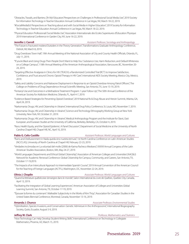- "Obstacles, Travails, and Barriers, Oh My! Educators' Perspectives on Challenges in Professional Social Media Use", 2019 Society for Information Technology in Teacher Education Annual Conference in Las Vegas, NV, March 18-22, 2019.
- "#SocialMediaEd: Perspectives on Teaching about and with Social Media in Higher Education", 2019 Society for Information Technology in Teacher Education Annual Conference in Las Vegas, NV, March 18-22, 2019.
- "Physical Education Professionals' Social Media Use", Association Internationale des Ecoles Superieures d'Education Physique 2019 International Conference in Garden City, NY, June 16-22, 2019.

**Jennifer J. Carroll** *Assistant Professor, Sociology and Anthropology*

- "The Future is Fractured: Insiders/Outsiders in the Theory Generation", Transformations Graduate Anthropology Conference, Detroit, MI, March 8, 2019.
- "Drug Overdoses Town Hall", 19th Annual Meeting of the National Association of City and County Health Officials, Orlando, FL, July 11, 2019.
- "'If you're Black and Using Drugs Then People Don't Want to Help You': Substance Use, Harm Reduction, and Default Whiteness on a College Campus", 118th Annual Meeting of the American Anthropological Association, Vancouver, BC, November 20- 24, 2019.
- "Targeting Effective Analgesia in Clinics for HIV (TEACH): a Randomized Controlled Trial (RCT) to Improve Satisfaction, Confidence, and Trust around Chronic Opioid Therapy in HIV Care", International AIDS Society Meeting, Mexico City, Mexico, 2019.
- "Safety and Liability Concerns and Naloxone Deployment in Response to an Opioid Overdose Among Patrol Officers", The College on Problems of Drug Dependence Annual Scientific Meeting, San Antonio, TX, June 15-19, 2019.
- "Fentanyl Use and Outcomes in a Methadone Treatment Program: 1-year Follow-Up", The 50th Annual Conference of the American Society for Addiction Medicine, Orlando, FL, April 4-7, 2019.
- "Evidence-Based Strategies for Preventing Opioid Overdose", 2019 National Rx & Drug Abuse and Heroin Summit, Atlanta, GA, April 24, 2019.
- "Narkomania: Drugs, HIV, and Citizenship in Ukraine", International Drug Policy Conference, St. Louis, MO, November 7, 2019.
- "Narkomania: Drugs, HIV, and Citizenship in Ukraine", Science and Technology Ethnography Working Group at New York University, New York, NY, October 31, 2019.
- "Narkomania: Drugs, HIV, and Citizenship in Ukraine", Medical Anthropology Program and the Institute for Slavic, East European, and Eurasian Studies at the University of California, Berkeley, Berkeley, CA, October 4, 2019.
- "Race, Health Equity, and the Opioid Epidemic: A Panel Discussion", Department of Social Medicine at the University of North Carolina Chapel Hill, Chapel Hill, NC, April 10, 2019.

### **Pablo G. Celis-Castillo** *Assistant Professor, World Languages and Cultures*

- "Ruins and Disillusionment in Nada queda sino nuestra ternura", 1st North Carolina Conference on Latin American Studies (NC/CLAS), University of North Carolina at Chapel Hill, February 22-23, 2019.
- "Verdades incómodas en La voluntad del molle (2006) de Karina Pacheco Medrano", XXXVII Annual Congress of the Latin American Studies Association, Boston, MA, May 24-27, 2019.
- "World Languages Departments and Ethical Global Citizenship", Association of American Colleges and Universities' (AAC&U) Network for Academic Renewal Conference: Global Citizenship for Campus, Community, and Careers, San Antonio, TX, October 17-19,2019.
- "The Impacts of an Intercultural Approach to Intermediate Spanish Course", 2019 Annual Convention of the American Council for the Teaching of Foreign Languages (ACTFL), Washington, DC, November 22-24, 2019.

**Olivia J. Choplin** *Associate Professor, World Languages and Cultures*

- "Quand la littérature québécoise s'enseigne dans le monde", Salon International du Livre de Québec, Quebec City, Canada, April 13, 2019.
- "Facilitating the Integration of Global Learning Experiences", American Association of Colleges and Universities Global Learning Summit, San Antonio, TX, October 17-19, 2019.
- "'Épouser la forme du contenant': Malleable Subjectivity in the Works of Kim Thúy", Association for Canadian Studies in the United States Biennial Conference, Montreal, Canada, November 13-16, 2019.

### **Amanda J. Chunco** *Associate Professor, Environmental Studies*

"Hybridization, Species Invasions, and Conservation: Genetic Admixture in the Anthropocene", International Biogeography Society, Quito, Ecuador, August 5-9, 2019.

### **Jeffrey W. Clark** *Professor, Mathematics and Statistics*

"How Technology Can Help Develop Student Writing Skills", International Conference on Technology in Collegiate Mathematics, Phoenix, AZ, March 15, 2019.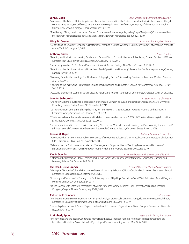### **John L. Cook** *Legal Method and Communication Fellow*

### "Interwoven: The Fabric of Interdisciplinary Collaboration, Presentation, The United States Territories in the Context of Legal Writing: Same Same, But Different", Central States Area Legal Writing Conference, University of Illinois at Chicago John Marshall Law School, Chicago, Illinois, September 13, 2019.

"The History of Drug Law in the United States / Ethical Issues for Attorneys Regarding "Legal" Marijuana", Commonwealth of the Northern Mariana Islands Bar Association, Saipan, Northern Mariana Islands, June 25, 2019.

**Libby M. Coyner** *Assistant Librarian, Belk Library* 

"Deconstructing 'Diversity': Embedding Institutional Archives in Critical Whiteness Curriculum," Society of American Archivists, Austin, TX, July 31-August 6, 2019.

### **Anthony Crider** *Professor, Physics*

"Reacting and Inclusion: Addressing Student and Faculty Discomfort with Historical Role-playing Games", 3rd Annual Winter Conference at University of Georgia, Athens, GA, January 18-19, 2019.

"Democracy in Athens", 19th Annual Summer Institute at Barnard College, New York, NY, June 12-15, 2019.

- "Reacting to the Past: Using Historical Roleplay to Teach Speaking and Empathy", Serious Play Conference, Montreal, Quebec, Canada, July 10-12, 2019.
- "Assessing Experiential Learning: Epic Finales and Roleplaying Rubrics", Serious Play Conference, Montreal, Quebec, Canada, July 10-12, 2019.

"Reacting to the Past: Using Historical Roleplay to Teach Speaking and Empathy", Serious Play Conference, Orlando, FL, July 24-26, 2019.

"Assessing Experiential Learning: Epic Finales and Roleplaying Rubrics", Serious Play Conference, Orlando, FL, July 24-26, 2019.

### **Jennifer Dabrowski** *Assistant Professor, Chemistry*

- "Efforts towards more sustainable production of chemicals: Combining sugars and catalysis", Appalachian State University Chemistry Lecture Series, Boone, NC, November 8, 2019.
- "Culinary transformations: Translating chemistry for non-majors" 71st Southeastern Regional Meeting of the American Chemical Society, Savannah, GA, October 20–23, 2019.
- "Efforts toward complex small molecule scaffolds from biorenewable resources", 258th ACS National Meeting & Exposition, San Diego, CA, United States, August 25–29, 2019.
- "Culinary Transformations: a Lesson in Connecting Non-science Majors to Green Chemistry and Sustainability through Food", 9th International Conference for Green and Sustainable Chemistry, Reston, VA, United States, June 11, 2019.

### **Brooks M. Depro** *Assistant Professor, Economics*

- "Recent Trends in Environmental Policy: Economics of Environmental Justice," 21st Annual Continuing Professional Education (CPE) Seminar for CPAs, Elon, NC, November, 2019.
- "Beliefs about the Environment and Markets Challenges and Opportunities for Teaching Environmental Economics," Enhancing Environmental Quality through Property Rights and Markets, Bozeman, MT, June, 2019.

"Retracting the Borders on Global Learning: Including "Home" in the Experience", International Society for Teaching and Learning, Atlanta, GA, October 9-12, 2019.

### **Vanessa L. Drew-Branch** *Assistant Professor, Human Service Studies*

- "Mining for Diamonds Culturally Responsive Maternal Mortality Advocacy", North Carolina Public Health Association Annual Conference, Greensboro, NC, September 25, 2019.
- "Advocacy and Social Justice Through the Evolutionary Lens of Hip Hop", Council on Social Work Education Annual Program Meeting, Denver, CO, October 22-27, 2019.
- "Taking Control with Safer Sex: Perceptions of African American Women", Sigma's 30th International Nursing Research Congress, Calgary, Alberta, Canada, July 25-29, 2019.

### **Catherine R. Dunham** *Professor, Law*

- "Third Generation Discrimination Part II: An Empirical Analysis of Judicial Decision Making", Eleventh Feminist Legal Theory Conference, University of Baltimore School of Law, Baltimore, MD, April 12, 2019.
- "Leadership Resolutions: A Panel of Experts on Leadership in Law and Beyond", synerG and Campus Greensboro, Greensboro, NC, January 14, 2019.

"The feminine and the freaks: Gender and mental health status linguistic frames differentially impact perceptions of a hypothetical individual", Association for Psychological Science, Washington, DC, May 22-24, 2019.

### **L. Kimberly Epting** *Associate Professor, Psychology*

### **Kirstie Doehler** *Associate Professor, Mathematics and Statistics*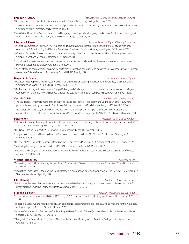**Brandon K. Essary** *Associate Professor, World Languages and Cultures*

"'De vulgari ludo-quentia': Dante, Literature, and Video Games", Gettysburg College, February 2019.

- "Gamification and (Video) Game-Based Learning Approaches in the FL/L2 Classroom", American Association of Italian Studies Conference, Wake Forest University, March 14-16, 2019.
- "Go with the Flow: Video Games, Literature and Language Learning", Italian Language and Culture Conference: Challenges in the 21st Century Italian Classroom, Georgetown University, October 26, 2019.

### **Elizabeth S. Evans** *Assistant Professor, Physical Therapy Education*

- "Effect of a compression sleeve on swelling, pain, and function during exercise in subjects 50-80 years of age with knee osteoarthritis", American Physical Therapy Association Combined Sections Meeting, Washington, DC, January, 2019.
- "Influence of 8 weeks of aerobic exercise on sleep and salivary melatonin in men", American Physical Therapy Association Combined Sections Meeting, Washington, DC, January, 2019.
- "Hypothalamic-pituitary-adrenal axis responses to an acute bout of moderate intensity aerobic exercise in breast cancer survivors", Experimental Biology, Orlando, FL, April, 2019.
- "Effects of taxane chemotherapy on physical performance, function, sensation, and quality of life in cancer survivors", Human Movement Science Research Symposium, Chapel Hill, NC, March, 2019.

### **Benjamin A. Evans** *Associate Professor, Physics*

- "Magnetic Anisotropy due to Self-Assembled Particle Chains Enhances Magnetic Heating and Torques", 15th International Conference on Magnetic Fluids, Paris, France, July 8-12, 2019.
- "Mechanisms of Magnetic Nanoparticle Energy Delivery and Challenges to in vivo Implementation", Workshop on Magnetic Control of Ion Channels, Howard Hughes Medical Institute, Janelia Research Campus, Ashburn, VA, February 24, 2019.

### **Cynthia D. Fair** *Professor, Public Health Studies*

- "'The struggles of fertility are more difficult than the struggles of cancer': Adolescent and young adult cancer survivors' perspectives on fertility preservation", Society of Adolescent Health and Medicine, Washington, DC, March 6-9, 2019.
- "'You don't really have a say in anything….like you don't have any options': AYA perspectives on fertility preservation conversations with healthcare providers", American Psychosocial Oncology Society, Atlanta, GA, February 28-March 2, 2019.

**Peter Felten** *Professor, History and Geography* 

- "Relationships matter: Moving relationship-rich experiences from the periphery to the center of undergraduate education", SACSCOC Annual Meeting, Houston, TX, December 2019.
- "The New Learning Compact", POD Network Conference, Pittsburgh, PA, November 2019.
- "Navigating Complex and Evolving Roles: A Discussion for Center Leaders", POD Network Conference, Pittsburgh, PA, November 2019.
- "Theories at Play: Threshold Concepts, Decoding the Disciplines, and SoTL", ISSOTL Conference, Atlanta, GA, October 2019.
- "Cultivating Backstage Conversations in SoTL", ISSOTL Conference, Atlanta, GA, October 2019.
- "Exploring and Applying a New Framework for Prioritizing Human Relationships in Higher Education", ISSOTL Conference, Atlanta, GA, October 2019.

### **Victoria Fischer Faw** *Professor, Music*

- "Articulating Bartók: Understanding the Touch and Pedal Notation," Music Teachers National Association Annual Conference, March 16-20, 2019.
- "Articulating Bartók: Understanding the Touch Notation in his Pedagogical Works," Workshop for the Tidewater (Virginia) Music Teachers Association, April 12, 2019.

**CJ E. Fleming** *Assistant Professor, Psychology*

"Predictors of Perceived Partner Accommodation of Mental Health Symptoms", 53rd annual meeting of the Association for Behavioral and Cognitive Therapies, Atlanta, GA, November 11-15, 2019.

### **Stephen E. Folger** *Professor, Physical Therapy Education*

- "Groove Music and Cortical Excitability: A TMS Study", APTA Combined Sections Meeting, Washington, DC, January 23-26, 2019.
- "Impact of a Carbohydrate Mouth Rinse on Corticomotor Excitability after Mental Fatigue", Annual Meeting for the American College of Sports Medicine, Orlando, FL, June 2019.
- "Impact of Acute Aerobic Exercise on Cue Reactivity in Heavy Episodic Drinkers", Annual Meeting for the American College of Sports Medicine, Orlando, FL, June 2019.
- "Changes in Cue Reactivity to Fatty Foods After Exercise", Annual Meeting for the American College of Sports Medicine, Orlando, FL, June 2019.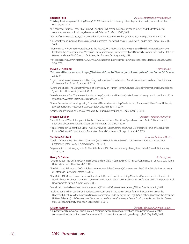### 28 2019 Presentations

## 24-26, 2019.

Conference, Baton Rouge, LA, November 21-23, 2019.

### **Henry D. Gabriel** *Professor, Law*

- "Default Rules in the Uniform Commercial Code and the CISG: A Comparison", XIV Annual Conference on Contract Law, Tulane University School of Law, March 9, 2019.
- "The Misplaced Reliance on Default Rules in International Sales Contracts", Conference on the CISG at Middle Age, University of Pittsburgh Law School, March 22, 2019.
- "The UNCITRAL Model Law on Electronic Transferable Records Law: Streamlining Monetary Payments and the Transfer of Goods Through Electronic Commerce", Kuwait International Law School's Sixth Annual Conference on Contemporary Legal Developments, Kuwait, Kuwait, May 2, 2019.

"Introduction to the law of electronic transactions", Estonian E-Governance Academy, Tallinn, Estonia, June 16, 2019.

"Evolving Standards of Custom and Trade Usage in Contracts for the Sale of Goods from in the Common Law of the Nineteenth Century to the American Uniform Commercial Code by way of the English Sale of Goods Act and the American Uniform Sales Act", 11th Transnational Commercial Law Teachers' Conference, Center for Commercial Law Studies, Queen Mary College, University of London, September 13, 2019.

### **T. Kenn Gaither** *Professor, Strategic Communications* "Corporate social advocacy as public interest communication: Exploring perceptions of corporate involvement in controversial social-political issues," International Communication Association, Washington, D.C., May 24-28, 2019.

### **Stephen A. Futrell** *Associate Professor, Music*

### "Educational Neuroscience and Judging", The National Council of Chief Judges of State Appellate Courts, Denver, CO, October 22, 2019.

- "Legal Education and Neuroscience: Five Things to Know Now", Southeastern Association of American Law Schools Annual Conference, Boca Raton, FL, August 2, 2019.
- "Sword and Shield: The Disruptive Impact of Technology on Human Rights", Gonzaga University International Human Rights Symposium, Florence, Italy, June 1, 2019.
- "Interdependence Day: The Intersectionality of Law, Cognition and Emotion", Wake Forest University Law School Spring 2019 Symposium, Winston-Salem, NC, February 22, 2019.
- "A New Generation of Learning: Using Educational Neuroscience to Help Students Help Themselves", Wake Forest University Law School Faculty Presentation, Winston-Salem, NC, February 19, 2019.

"Searches and Written Consent", Greensboro City Council, Greensboro, NC, September 10, 2019.

- "Hate All Around: What Ethnographic Methods Can Teach Courts About Free Speech and Harm Amid Political Conflict", International Communication Association, Washington, DC, May 25, 2019.
- "Representation in Contentious Digital Publics: Analyzing Public Comments During Live-Streamed News of Racial Justice Protests", Midwest Political Science Association Annual Conference, Chicago, IL, April 4-7, 2019.

"Catalog Offerings: Fred Bock Music Company (What to Look for in the Score)", Louisiana Music Educators Association

"Improvisation & Scat Singing – It's All About the Blues", 46th Annual University of Mary Jazz Festival, Bismark, ND, January

- "Building Relationships and Raising Money", ASJMC Leadership in Diversity Fellowship Session Leader, New Orleans, LA, February 26, 2019.
- NEA convener National Leadership Summit: Fault Lines in Communications: preparing faculty and students to better communicate in a multicultural, diverse world, Orlando, FL, March 13-15, 2019.
- "Power of TV: Unscripted Storytelling", with the Television Academy, BEA host/interviewer, Las Vegas, NV, April 8, 2019.
- "Collaborative and Inclusive Journalism", World Journalism Education Congress Syndicate 9 Leader, Paris, France, July 9-11, 2019.
- "Women Faculty Moving Forward: Securing the Future", 2019 AEJMC Conference sponsored by Lillian Lodge Kopenhaver Center for the Advancement of Women in Communication at Florida International University, Commission on the Status of Women and the AEJMC Council of Affiliates, San Fransico, CA, August 6-9, 2019.
- "Key Issues Facing Administrators", AEJMC/ASJMC Leadership in Diversity Fellowship session leader, Toronto, Canada, August 7-10, 2019.

### **Steven I. Friedland** *Professor, Law*

**Preston B. Fuller** *Assistant Professor, Journalism*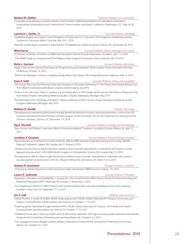### **Barbara M. Gaither** *Professor, Strategic Communications*

"Corporate social advocacy as public interest communication: Exploring perceptions of corporate involvement in controversial social-political issues," International Communication Association Conference, Washington, D.C., May 24-28, 2019.

### **Lawrence L. Garber, Jr.** *Associate Professor, Marketing*

"Qualitative Insights into Organic Food: Perceptions of Indian and U.S. Consumers," 2019 Academy of Marketing Science Conference, Vancouver, British Columbia, May 29-31, 2019.

"Attitude toward organic products in India and the US," Appalachian Global Symposium, Boone, NC, November 20, 2019.

**Mina Garcia** *Associate Professor, World Languages and Cultures* "El Hamete de Toledo y el miedo a la diferencia," Asociación Internacional de Hispanistas, Jerusalem, July 7-12, 2019.

"The infidel's body as conquered land," The Religious Body Imagined Symposium, Elon University, Feb 7-9, 2019.

### **Betty L. Garrison** *Assistant Librarian, Belk Library*

"Make It Stick: Active Learning Techniques for Programming and Instruction", North Carolina Library Association Biennial Conference, October 16, 2019.

"What's Your Message? Creating Compelling Visuals About Your Library", TALA Paraprofessional Conference, May 14, 2019.

**Evan A. Gatti** *Associate Professor, History and Geography*  "The Things They Carry Re-Presented: Episcopal Simulacra or Decorative Ephemera," in "The Things They Carried: Bishops and Their Objects," International Medieval Congress, Leeds, England, July 2019.

- "'Drawn in ink, with love.'/ Desire in Looking at and Looking Back," in "Mit manigir slachti wunnin: The Politics of Pleasure in the Holy Roman Empire," International Medieval Studies Congress, Kalamazoo, Michigan, May 2019.
- "Re-Presentation and a Theology of Images," in "Brevia on Bishops and the Secular Clergy," International Medieval Studies Congress, Kalamazoo, Michigan, May 2019.

### **Mathew H. Gendle** *Professor, Psychology*

"Developing and maintaining ethical and mutually beneficial international service learning partnerships: Lessons from the successes (and failures!) of the Periclean Scholars program at Elon University", 6th Annual Global Service Learning Summit, Clemson University, Clemson, SC, November 3-5, 2019.

**Raj A. Ghoshal** *Assistant Professor, Sociology and Anthropology*

"Race, Racism, and Political Correctness: What Do Americans Believe?" Southern Sociological Society, Atlanta, GA, April 12, 2019.

**Jonathan S. Goodwin** *Assistant Professor, Physical Therapy Education*

- "Neuromechanical contributions to lower extremity stiffness differ between single leg hopping and running", ISB/ASB National Conference, Calgary, AB, Canada, July 31-August 4, 2019.
- "Vibratory stimuli improve gait biomechanics linked to post-traumatic osteoarthritis in individuals with anterior cruciate ligament reconstruction", 2019 OARSI World Congress on Osteoarthritis, Toronto, ON, Canada, May 2-5, 2019.
- "Somatosensory deficits influence gait biomechanics linked to post-traumatic osteoarthritis in individuals with anterior cruciate ligament reconstruction", 2019 ACL Research Retreat VIII, Greensboro, NC, March 14-16, 2019.

### **Andrew N. Greenland** *Assistant Professor, Economics*

"Using Equity Market Reactions to Infer Exposure to Trade Liberalization," NBER Summer Institute - ITI, 2019.

"Expression, Animation, and Intelligibility: Concepts for a Decolonial Feminist Affect Theory," Society for Phenomenology and Existential Philosophy (SPEP), Pittsburgh, PA, October 31-November 2, 2019.

"The Forgetting of Ableism in Affect Theory," with Joel Michael Reynolds, International Merleau-Ponty Circle, hosted by Fordham in New York, NY, September 12-14, 2019.

### **Eric E. Hall** *Professor, Exercise Science*

- "Global Phoenix: A model of student-athlete study away access", AAC&U Global Citizenship for Campus, Community, and Careers: Crossing Borders and Boundaries, San Antonio, TX, October 17-19, 2019.
- "Fostering global citizenship through mentored HIPs", AAC&U Global Citizenship for Campus, Community, and Careers: Crossing Borders and Boundaries, San Antonio, TX, October 17-19, 2019.
- "Inhabiting liminal space: learning charters and the democratic classroom with high-achieving student partners", International Society for the Scholarship of Teaching and Learning, Atlanta, GA, October 9-12, 2019.
- "Civic engagement and collegiate student-athletes", International Society for the Scholarship of Teaching and Learning, Atlanta, GA, October 9-12, 2019.

**Lauren E. Guilmette** *Assistant Professor, Philosophy*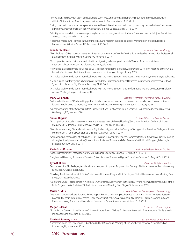"The relationship between team climate factors, sport type, and concussion reporting intentions in collegiate studentathletes", International Brain Injury Association, Toronto, Canada, March 13-16, 2019.

- "Using concussion symptoms as a proxy for mental health: Baseline concussion symptoms may be predictive of depressive symptoms", International Brain Injury Association, Toronto, Canada, March 13-16, 2019.
- "Identity factors predict concussion reporting behaviors in collegiate student-athletes", International Brain Injury Association, Toronto, Canada, March 13-16, 2019.
- "Fostering intercultural learning through undergraduate research in global contexts", Workshop on Intercultural Skills Enhancement. Winston-Salem, NC, February 14-15, 2019.

**Jennifer A. Hamel** *Assistant Professor, Biology*

- "Elon Explorers: Citizen science meets multimedia communication," North Carolina Science Teachers Association Professional Development Institute, Winston-Salem, NC, November 2019.
- "A comparative study of airborne and vibrational signaling in Neotropical katydids," Animal Behavior Society and the International Conference on Ethology, Chicago, IL, July 2019.
- "How does mate assortment influence sexual selection for extreme polyandry?", Behaviour 2019, joint meeting of the Animal Behavior Society and the International Conference on Ethology, Chicago, IL, July 2019.

"A Tangled Web: Why do Some Individuals Mate with the Wrong Species?" Evolution Annual Meeting, Providence, RI, July 2019.

- "Flexible signaling strategies in a Neotropical katydid," The Smithsonian Tropical Research Institute Annual Interns & Fellows Symposium, Panama City, Panama, February 21-22, 2019.
- "A Tangled Web: Why do Some Individuals Mate with the Wrong Species?" Society for Integrative and Comparative Biology Annual Meeting, Tampa, FL, January 2019.

### **Mary C. Hannah** *Assistant Professor, Physical Therapy Education*

- "Will you hit the nerve? Dry Needling piriformis in human donors to assess recommended needle insertion and ultimate location in relation to sciatic nerve", APTA Combined Sections Meeting, Washington, DC, January 2019.
- "Muscle Activation of the Upper Quarter Y Balance Test and Relationship to Test Score", APTA Combined Sections Meeting, Washington, DC, January 2019.

**Simon Higgins** *Assistant Professor, Exercise Science*

- "A comparison of accelerometer wear sites in the assessment of skeletal loading", Southeast American College of Sports Medicine 2019 Regional Conference, Greenville, SC, February 14-16, 2019.
- "Associations Among Dietary Protein Intake, Physical Activity, and Muscle Quality in Young Adults", American College of Sports Medicine 2019 National Conference, Orlando, FC, May 28 - June 1, 2019.
- "Validation and comparison of Actigraph GT9X Link and RunScribe Plus™ accelerometers for the estimation of skeletal loading during habitual physical activities", International Society of Posture and Gait Research 2019 World Congress, Edinburgh, Scotland, June 30 - July 4, 2019.

### **Kevin S. Hoffmann** *Assistant Professor, Performing Arts*

"Modern Imagination", Association of Theatre in Higher Education, Orlando, FL, August 7-11, 2019.

"Heightened Listening: Experience Transition", Association of Theatre in Higher Education, Orlando, FL, August 7-11, 2019.

### **Lynn R. Huber** *Professor, Religious Studies*

Response to "Pasifika Pedagogies", Islands, Islanders, and Scriptures Program Unit, Society of Biblical Literature Annual Meeting, San Diego, CA, November 2019.

"Reading Revelation with Gail R. O'Day", Johannine Literature Program Unit, Society of Biblical Literature Annual Meeting, San Diego, CA, November 2019.

"Cultivating Queer Relationships in Neoliberal Authoritarian Age", Women in the Biblical World / Feminist Hermeneutics of the Bible Program Units, Society of Biblical Literature Annual Meeting, San Diego, CA, November 2019.

### **Mussa S. Idris** *Assistant Professor, Sociology and Anthropology**Assistant Professor, Sociology and Anthropology*

"Mentoring Undergraduate Students Ethnographic Research: High-Impact Practice in Local and Global Contexts. Fostering Global Citizenship through Mentored High-Impact Practices", AAC&U's Global Citizenship for Campus, Community and Careers: Crossing Borders and Boundaries Conference, San Antonio, Texas. October 17-19, 2019.

**Megan L. Isaac Associate Professor, English Megan L. Isaac** *Associate Professor, English* 

"Smile for the Camera: Surveillance in Children's Picture Books", Children's Literature Association's International Conference in Indianapolis, Indiana, June 13-17, 2019.

### **Tamiz M. Tonmoy Islam** *Assistant Professor, Economics*

"Dictatorship and the Provision of Public Goods", The 89th Annual Meeting of The Southern Economic Association, Fort Lauderdale, FL, November 2019.

### 30 2019 Presentations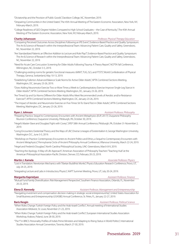"Dictatorship and the Provision of Public Goods", Davidson College, NC, November, 2019.

"Despairing Communities in the United States", The 45th Annual Meeting of The Eastern Economic Association, New York, NY, February-March, 2019.

"College Readiness of GED Degree Holders Compared to High School Graduates -- the Case of Kentucky", The 45th Annual Meeting of The Eastern Economic Association, New York, NY, February-March, 2019.

### **Charity Johansson** *Professor, Physical Therapy Education*

"Comparing Perceived Outcomes Across Disciplines Following an IPE Event", Evidence-Based Practice and Quality Symposium: The Art & Science of Research within the Interprofessional Team: Advancing Patient Care, Quality and Safety, Greensboro, NC, November 22, 2019.

"Are Standardized Patients an Effective Addition to Lecture and Role Play?", Evidence-Based Practice and Quality Symposium: The Art & Science of Research within the Interprofessional Team: Advancing Patient Care, Quality and Safety, Greensboro, NC, November 22, 2019.

"Need for Acute Care Concussion Screening for Older Adults Following Trauma: A Theory Report", NCPTA Fall Conference, Wilmington, NC, October 3-5, 2019.

"Challenging existing norms for geriatric functional measures: 6MWT, TUG, SLS, and FTSTS", World Confederation of Physical Therapy, Geneva, Switzerland, May 10-13, 2019.

- "Establishing Fullerton Advanced Balance Scale Norms for Active Older Adults", APTA Combined Sections Meeting, Washington, DC, January 23-26, 2019.
- "Does Adding Neuromotor Exercise Two or More Times a Week to Cardiorespiratory Exercise Improve Single-Leg Stance in Older Adults?", APTA Combined Sections Meeting, Washington, DC, January 23-26, 2019.

"Are Timed Up and Go Norms Different for Older Adults Who Meet Recommended Levels of Aerobic and/or Resistance Exercise?", APTA Combined Sections Meeting, Washington, DC, January 23-26, 2019.

"The Impact of Aerobic and Neuromotor Exercise on Five-Times Sit-To-Stand Test in Older Adults", APTA Combined Sections Meeting, Washington, DC, January 23-26, 2019.

**Ryan J. Johnson** *Assistant Professor, Philosophy*

- "Preparing Practice, Sequel to Contemporary Encounters with Ancient Metaphysics (EUP, 2017)", Duquesne Philosophy Reunion Conference, Duquesne University, Pittsburgh, PA, October 30, 2019.
- "Hegel's Master-Slave and Douglass' Fight with Covey", SPEP 58th Annual Conference, Pittsburgh, PA, October 31-November 2, 2019.
- "Living Encounters: Existential Theory and the Ways of Life", Diverse Lineages of Existentialism II, George Washington University, Washington D.C., June 3-5, 2019.
- "Workshop on Practice: Contemporary Encounters to Ancient Politics and Ethics, a Sequel to Contemporary Encounters with Ancient Metaphysics", Pennsylvania Circle of Ancient Philosophy Annual Conference, Villanova University, March 22-24, 2019.

"Hegel and Frederick Douglass", North Carolina Philosophical Society, UNC-Greensboro, March 8-9, 2019.

"Teaching the Apology: A Way-of-Life Approach", American Association of Philosophy Teachers "Teaching Hub" at the American Philosophical Association-Pacific Division, Denver, CO, February 20-23, 2019.

### **Martin J. Kamela** *Associate Professor, Physics Associate Professor, Physics*

"Lost in Translation: Newtonian Mechanics with Tibetan Buddhist Monks", Physics Education Research Conference, Provo, UT, July 24-25, 2019.

"Integrating Lecture and Labs in Introductory Physics", AAPT Summer Meeting, Provo, UT, July 20-24, 2019.

**Margarita Kaprielyan** *Assistant Professor, Finance*

"Mutual Fund Family Diversification: Risk Management Perspective", Southern Finance Association, Orlando, FL, November 20-23, 2019.

**Elena D. Kennedy** *Assistant Professor, Management and Entrepreneurship*

"Navigating investment and compensation decision making in strategic social entrepreneurship", United States Association for Small Business and Entrepreneurship (USASBE) Annual Conference, St. Petes, FL, January 22-27, 2019.

### **Baris Kesgin** *Assistant Professor, Political Science*

"When Roles Change: Turkish Foreign Policy and the Arab-Israeli Conflict", Annual meeting of International Studies Association-Midwest, St. Louis, November 21-23, 2019.

"When Roles Change: Turkish Foreign Policy and the Arab-Israeli Conflict", European International Studies Association Workshop, Krakow, Poland, June 28-30, 2019.

"The "I" in BRICS: Personality Profiles of India's Prime Ministers and Adapting to Rising Status in World Politics", International Studies Association Annual Convention, Toronto, March 27-30, 2019.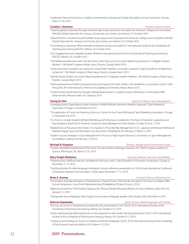"Leadership Traits and Seniority in Coalition Governments", International Studies Association Annual Convention, Toronto, March 27-30, 2019.

### **Caroline J. Ketcham** *Professor, Exercise Science*

- "Fostering global citizenship through mentored high-impact practices", Association for American Colleges and Universities (AAC&U) Global Citizenship for Campus, Community, and Careers, San Antonio, TX, October 2019.
- "Global Phoenix: A model of student-athlete study away access", Association for American Colleges and Universities (AAC&U) Global Citizenship for Campus, Community, and Careers, San Antonio, TX, October 2019.
- "Committing to capstones: What motivates institutions, faculty and students?", International Society for the Scholarship of Teaching and Learning (ISSOTL), Atlanta, GA, October 2019.
- "Civic Engagement and Collegiate Student Athletes", International Society for the Scholarship of Teaching and Learning (ISSOTL), Atlanta, GA, October 2019.
- "The Relationship Between Team Climate Factors, Sport Type, and Concussion Reporting Intentions in Collegiate Student-Athletes", 13th World Congress of Brain Injury, Toronto, Canada, March 2019.
- "Using concussion symptoms as a proxy for mental health: Baseline concussion symptoms may be predictive of depressive symptoms", 13th World Congress of Brain Injury, Toronto, Canada, March 2019.
- "Identity Factors Predict Concussion Reporting Behaviors in Collegiate Student-Athletes", 13th World Congress of Brain Injury, Toronto, Canada, March 2019.
- "Parent perspectives of health care barriers and social supports for their children with disabilities in a university context", 34th Annual Pac Rim International Conference on Disability and Diversity, Hawaii, March 2019.
- "Fostering intercultural learning through undergraduate research in global contexts", Workshop on Intercultural Skills Enhancement, Winston-Salem, NC, February 2019.

### **Young Do Kim** *Assistant Professor, Sport Management*

- "Leveraging Sport Organizations' Green Initiatives: A Belief-Attitude-Intentions Hierarchy Approach", Sport Marketing Association, Chicago, IL, November 6-8, 2019.
- "The application of Social Live Streaming Services in Sports for Fans' Social Well-being", Sport Marketing Association, Chicago, IL, November 6-8, 2019.
- "It is Time to Consider Student-Athletes' Well-Being and Performance Satisfaction: The Roles of Authentic Leadership and Psychological Capital", North American Society for Sport Management, New Orleans, LA, May 29-June 1, 2019.
- "Baseball Fans at Risk around the Globe: A Comparison of Foul Ball Risk Management in U.S., Japanese and Korean Professional Baseball League", Sport and Recreation Law Association, Philadelphia, PA, February, 27-March 2, 2019.
- "Student Success Strategies in Sport Management: A Focus on High Impact Practices", Commission on Sport Management Accreditation, Atlanta, GA, February, 7-8, 2019.

| <b>Michael B. Kingston</b>                                                                                            | Professor, Biology and Environmental Studies |
|-----------------------------------------------------------------------------------------------------------------------|----------------------------------------------|
| "Predator Mediated Establishment of the Exotic Tunicate Clavelina oblonga in Beaufort, NC", North Carolina Academy of |                                              |
| Science, Wilmington, NC, March 22-23, 2019.                                                                           |                                              |

"Preparing early childhood teacher candidates for advocacy roles", Critical Questions in Education Symposium, Chicago, IL, November 11-13, 2019.

"Coaching families for infant language stimulation", virtual conference presentation at 12th Annual International Conference of Education, Research and Innovation, Seville, Spain, November 11-13, 2019.

- "Feminization and Masculinization of Singing Voices: Practical Tool to Shift Gender Perception", The Voice Foundation 48th Annual Symposium: Care of the Professional Voice, Philadelphia, PA, May 29-June 2, 2019.
- "Balancing Enrollment: DEI & Student Opportunity", Musical Theatre Educators' Alliance Annual Conference, New York, NY, January 3-5, 2019.

"Transgender Voice Pedagogy", New England Conservatory Pedagogy Speaker Series, Boston, MA, December 4, 2019.

### **Ketevan Kupatadze** *Senior Lecturer, World Languages and Cultures*

- "'But how do we do it?' Implementing student-faculty partnerships in SoTL", ISSoTL 2019: International Society of the Scholarship of Teaching and Learning, Atlanta, GA, October 9-12, 2019.
- "Equity-seeking faculty/staff perspectives on and experiences with student-faculty partnerships", ISSoTL 2019: International Society of the Scholarship of Teaching and Learning, Atlanta, GA, October 9-12, 2019.

"Scaling up and Trickling out Access to Students as Partners Pedagogy", ISSoTL 2019: International Society of the Scholarship of Teaching and Learning, Atlanta, GA, October 9-12, 2019.

### 32 2019 Presentations

**Mary Knight-McKenna** *Associate Professor, Education and Wellness*

**Brian A. Kremer** *Assistant Professor, Performing Arts*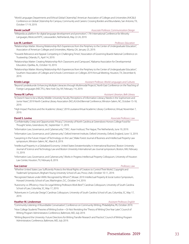"World Languages Departments and Ethical Global Citizenship", American Association of Colleges and Universities (AAC&U) Conference on Global Citizenship for Campus, Community and Careers: Crossing Borders and Boundaries, San Antonio, TX, October 17-19, 2019.

### **Derek Lackaff** *Associate Professor, Communication Design*

"Wikipedia as platform for digital language development and promotion", 17th International Conference for Minority Languages, Westcord WTC, Leeuwarden, Netherlands, May 22-24, 2019.

**Leo M. Lambert** *Professor, Education* 

"Relationships Matter: Moving Relationship-Rich Experiences from the Periphery to the Center of Undergraduate Education", Association of American Colleges and Universities, Atlanta, GA, January 25, 2019.

"Towards Relevance and Appeal: Competing in Challenging Times", Association of Governing Boards National Conference on Trusteeship, Orlando, FL, April 14, 2019.

"Relationships Matter: Creating Relationship-Rich Classrooms and Campuses", Alabama Association for Developmental Education, Opelika, AL, October 10, 2019.

"Relationships Matter: Moving Relationship-Rich Experiences from the Periphery to the Center of Undergraduate Education", Southern Association of Colleges and Schools Commission on Colleges 2019 Annual Meeting, Houston, TX, December 8, 2019.

**Kristin Lange** *Assistant Professor, World Languages and Cultures*

"Beyond Landeskunde: Enhancing Multiple Literacies through Multimodal Projects", North East Conference on the Teaching of Foreign Languages (NECTFL), New York City, NY, February 7-9, 2019.

**Teresa W. LePors** *Assistant Librarian, Belk Library*

- "It Doesn't Have to be a Murky Middle: University Faculty Perceptions of Information Literacy Needs in the Sophomore and Junior Years", 2019 North Carolina Library Association (NCLA) 63rd Biennial Conference, Winston-Salem, NC, October 15-18, 2019.
- "High Impact Practices and the Academic Library", 2019 Louisiana Virtual Academic Library Conference, Virtual, November 7, 2019.

**David S. Levine** *Associate Professor, Law*

"Confidentiality Creep and Opportunistic Privacy", University of North Carolina at Greensboro Honors College Food for Thought Series, Greensboro, NC, September 11, 2019.

"Information Law, Governance, and Cybersecurity", T.M.C. Asser Instituut, The Hague, The Netherlands, June 19, 2019.

- "Information Law, Governance, and Cybersecurity", Oxford Internet Institute, Oxford University, Oxford, England, June 13, 2019.
- "Lawyering in the Future: Impact of Technology on the Law", Wake Forest Journal of Business and Intellectual Property Law symposium, Winston-Salem, NC, March 8, 2019.

"Intellectual Property in a Globalized Economy: United States Extraterritoriality in International Business", Boston University Journal of Science and Technology Law and Boston University International Law Journal symposium, Boston, MA, February 15, 2019.

"Information Law, Governance, and Cybersecurity", Works in Progress Intellectual Property Colloquium, University of Houston Law Center, Houston, TX, February 8, 2019.

### **Sue Liemer** *Professor, Law*

"Whether United States Law Sufficiently Protects the Moral Rights of Creators to Control Their Works", Copyright and Trademark Symposium, Brigham Young University School of Law, Provo, Utah, October 10-11, 2019.

"Recognized Stature under VARA: Recognized by Whom?", Mosaic 2019: Intellectual Property & Social Justice Symposium, Howard University School of Law, Washington, D.C., October 3-4, 2019.

"Autonomy vs. Efficiency: How Do Legal Writing Professors Work Best?", Carolinas Colloquium, University of South Carolina School of Law, Columbia, SC, May 17, 2019.

"Adventures in Curricular Design", Carolinas Colloquium, University of South Carolina School of Law, Columbia, SC, May 17, 2019.

### **Heather M. Lindenman** *Assistant Professor, English*

"Community Listening: A Roundtable Conversation", Conference on Community Writing, Philadelphia, PA, October 2019.

"How College Students' Theories of Writing Evolve—Or Not: Revisiting the 'Theory of Writing' One Year Later", Council of Writing Program Administrators Conference, Baltimore, MD, July 2019.

"Writing Beyond the University: Future Directions for Writing Transfer Research and Practice", Council of Writing Program Administrators Conference, Baltimore, MD, July 2019.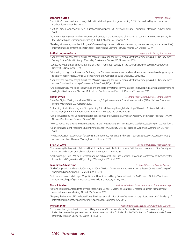### **Deandra J. Little** *Professor, English*

"Credibility, 'cultural work,' and change: Educational development in group settings", POD Network in Higher Education, Pittsburgh, PA, November 2019.

"Getting Started: Workshop for New Educational Developers", POD Network in Higher Education, Pittsburgh, PA, November 2019.

"SoTL Among the Silos: Disciplinary Frames and Identity in the Scholarship of Teaching & Learning", International Society for the Scholarship of Teaching and Learning (ISSOTL), Atlanta, GA, October 2019.

"Reading within or against the SoTL grain? Close reading as a method for understanding student learning in the humanities", International Society for the Scholarship of Teaching and Learning (ISSOTL), Atlanta, GA, October 2019.

**Buffie Longmire-Avital** *Associate Professor, Psychology*

- "Even over the rainbow, they'll still call me n\*##@#": Exploring the intersectional identities of emerging adult Black gay men", Society for the Scientific Study of Sexuality Conference, Denver, CO, November, 2019.
- "Squeezing Water out of a Rock: Getting that Small N Published", Society for the Scientific Study of Sexuality Conference, Denver, CO, November, 2019.
- "Mothering through discrimination: Exploring how Black mothers cope with and socialize the responses their daughters give to discrimination stress", Annual Carolinas Psychology Conference, Buies Creek, NC, April 2019.
- "Even over the rainbow, they'll still call me n\*##@#": Exploring the intersectional identities of emerging adult Black gay men", Annual Carolinas Psychology Conference, Buies Creek, NC, April 2019.
- "She does not want me to be like her": Exploring the role of maternal communication in developing eating pathology among collegiate Black women", National Multicultural Conference and Summit, Denver, CO, January 2019.

**Shaun Lynch** *Assistant Professor, Physician Assistant Studies* "Let's Get Digital: Making the Most of PAEA Learning", Physician Assistant Education Association (PAEA) National Education Forum, Washington, D.C., October, 2019.

- "Enhancing Student Learning and Strengthening Critical Thinking through Technology", Physician Assistant Education Association (PAEA) Annual Educational Forum, Washington, D.C. October 2019.
- "Clinic to Classroom 101: Considerations for Transitioning into Academia", American Academy of Physician Assistants (AAPA) National Conference, Denver, CO, May 2019.

"How to Navigate the Road to Promotion and Tenure", PAEA Faculty Skills 101 National Workshop, Washington D.C. April 2019.

- "Course Management: Assessing Student Performance", PAEA Faculty Skills 101 National Workshop, Washington D.C. April 2019.
- "Physician Assistant Student Comfort Levels in Competency Acquisition", Physician Assistant Education Association (PAEA) Annual Educational Forum, Washington, D.C. October 2019.

### **Brian D. Lyons** *Associate Professor, Management*

- "Reexamining the base rate of demand for HR certifications in the United States", 34th Annual Conference of the Society for Industrial and Organizational Psychology, Washington, DC, April 2019.
- "Seeking refuge: How LMX helps weather abusive behavior of Dark Triad leaders", 34th Annual Conference of the Society for Industrial and Organizational Psychology, Washington, DC, April 2019.

### **Takudzwa A. Madzima** *Assistant Professor, Exercise Science*

### "Body Composition and Aerobic Capacity in NCAA Division I Cross-country Athletes Across a Season", American College of Sports Medicine, Orlando, FL, May 28-June 1, 2019.

"Self-Perception of Body Image, Weight Control Practices, and Body Composition in NCAA Division I Athletes", Southeast American College of Sports Medicine, Greenville, SC, February 14-16, 2019.

### **Mark R. Mallon** *Assistant Professor, Management and Entrepreneurship*

"Beyond Tokenism: Antecedents of More Meaningful Gender Diversity on Boards of Directors", Southern Management Association Annual Meeting, Norfolk, VA, October 2019.

"Reaping the Benefits of Knowledge Flows: The Internationalization of New Ventures through Board Interlocks", Academy of International Business Annual Meeting, Copenhagen, Denmark, June 2019.

### **Mena Marino** *Assistant Professor, World Languages and Cultures*

"La stesura di un giornalino in un corso di lingua straniera" in the roundtable "Innovative tools for successful teaching Italian literature and upper level courses", American Association for Italian Studies XXXIX Annual Conference, Wake Forest University, Winston Salem, NC, March 14-16, 2019.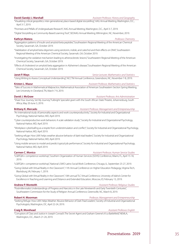|  | David (Sandy) J. Marshall |
|--|---------------------------|
|  |                           |

**David (Sandy) J. Marshall** *Assistant Professor, History and Geography* 

"Visualizing critical geopolitics: inter-generational, place-based digital storytelling", AAG Annual Meeting, Washington, D.C., April 3-7, 2019.

"Promises and Pitfalls of Undergraduate Research", AAG Annual Meeting, Washington, D.C., April 3-7, 2019.

"Digital Storytelling as Community-Based Learning Tool", SEDAAG Annual Meeting, Wilmington, NC, November, 2019.

**Kathryn Matera** *Professor, Chemistry*

"Aggregation patterns of insulin and amyloid-beta peptides," Southeastern Regional Meeting of the American Chemical Society, Savannah, GA, October 2019.

"Stabilization of amyloid beta oligomers using serotonin, indole, and catechol and their effects on DNA", Southeastern Regional Meeting of the American Chemical Society, Savannah, GA, October 2019.

"Investigating the oxidative mechanism leading to atherosclerotic lesions," Southeastern Regional Meeting of the American Chemical Society, Savannah, GA, October 2019.

"Effects of cholesterol on amyloid beta aggregation in Alzheimer's disease," Southeastern Regional Meeting of the American Chemical Society, Savannah, GA, October 2019.

### **Janet P. Mays** *Senior Lecturer, Mathematics and Statistics*

"Using Writing to Assess Conceptual Understanding", NCCTM Annual Conference, Greensboro, NC, November 7-8, 2019.

**Kristen L. Mazur** *Assistant Professor, Mathematics and Statistics*

"Tales of Success in Mathematical Malpractice, Mathematical Association of American Southeastern Section Spring Meeting, Lee University in Cleveland, TN, March 7-9, 2019.

**David J. McGraw** *Assistant Professor, Arts Administration*

"Share Your Journey, Set My Journey," Fulbright Specialist grant with the South African State Theatre, Johannesburg, South Africa, May 20-June 3, 2019.

**Brittany K. Mercado** *Assistant Professor, Management and Entrepreneurship*

- "An international study of personality aspects and work counterproductivity", Society for Industrial and Organizational Psychology, National Harbor, MD, April 2019.
- "Cyber counterproductive work behaviors: A scale validation study", Society for Industrial and Organizational Psychology, National Harbor, MD, April 2019.
- "Workplace cyberloafing as a respite from understimulation and conflict", Society for Industrial and Organizational Psychology, National Harbor, MD, April 2019.
- "Seeking refuge: How LMX helps weather abusive behavior of dark triad leaders", Society for Industrial and Organizational Psychology, National Harbor, MD, April 2019.
- "Using mobile sensors to model and predict typical job performance", Society for Industrial and Organizational Psychology, National Harbor, MD, April 2019.

**Carmen C. Monico** *Assistant Professor, Human Service Studies*

"LGBTQIA+ competence workshop", Southern Organization of Human Services (SOHS) Conference, Miami, FL, April 15-18, 2019.

"LGBTQIA+ competence workshop", National LSWO Latinx Social Work Conference, Chicago, IL, September 25-27, 2019.

"Going Global with Virtual Reality in the Classroom", 11th Annual Conference on Higher Education Pedagogy, Virginia Tech, Blacksburg, VA, February 1, 2019.

"Going Global with Virtual Reality in the Classroom", 10th annual TLC Virtual Conference, University of Idaho's Center for Excellence in Teaching and Learning and Distance and Extended Education, Moscow, ID, February 13, 2019.

**Andrew P. Monteith** *Assistant Professor, Religious Studies*

"Postmillennialist Understandings of Progress and Narcotics in the Late Nineteenth and Early Twentieth Centuries", Southeastern Commission for the Study of Religion Annual Conference, Greensville, NC, March 8, 2019.

**Robert H. Moorman** *Professor, Management and Entrepreneurship*

"Seeking Refuge: How LMX Helps Weather Abusive Behavior of Dark Triad Leaders", Society of Industrial and Organizational Psychologists, Washington, DC, April 22-24, 2019.

**Craig R. Morehead** *Assistant Professor, English*

"Corruptors of Class and Justice in Joseph Conrad's The Secret Agent and Graham Greene's It's a Battlefield," NEMLA, Washington, D.C., March 21-24, 2019.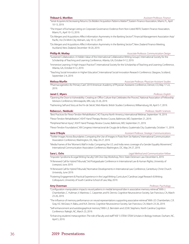### **Thibaut G. Morillon** *Assistant Professor, Finance*

"Serial Acquirers & Decreasing Returns: Do Bidders' Acquisition Patterns Matter?", Eastern Finance Association, Miami, FL, April 10-13, 2019.

- "The Impact of Exchange Listing on Corporate Governance: Evidence from Non-Listed REITs", Eastern Finance Association, Miami, FL, April 10-13, 2019.
- "Do Mergers and Acquisitions Affect Information Asymmetry in the Banking Sector?", Financial Management Association Asia/ Pacific, Ho Chi Minh City, Vietnam, July 10-12, 2019.
- "Do Mergers and Acquisitions Affect Information Asymmetry in the Banking Sector?", New Zealand Finance Meeting, Auckland, New Zealand, December 18-20, 2019.

### **Phillip M. Motley** *Associate Professor, Communication Design*

"Sustained Collaboration: A Hidden Value of the International Collaborative Writing Groups", International Society for the Scholarship of Teaching and Learning Conference, Atlanta, GA, October 9-12, 2019.

- "Immersive Learning: A High-Impact Practice?", International Society for the Scholarship of Teaching and Learning Conference, Atlanta, GA, October 9-12, 2019.
- "Teaching Social Innovation in Higher Education", International Social Innovation Research Conference, Glasgow, Scotland, September 2-4, 2019.

### **Melissa Murfin** *Associate Professor, Physician Assistant Studies*

"Pharmacogenetics for Primary Care", 2019 American Academy of Physician Assistants Conference, Denver, CO, May 17-22, 2019.

### **Janet C. Myers** *Professor, English*

"Opening the Door to Vulnerability: Creating an Office Culture that Celebrates the Process", National Association of Fellowship Advisors Conference, Minneapolis, MN, July 23-26, 2019.

"Fashioning Self and Story at the Fin de Siècle", Mid-Atlantic British Studies Conference, Williamsburg, VA, April 5-7, 2019.

### **Rebecca L. Neiduski** *Professor, Health Sciences*

"Best Practices for Flexor Tendon Rehabilitation", AO Trauma North America, International Webinar, September 19, 2019.

"Flexor Tendon Rehabilitation", ASHT Hand Therapy Review Course, Baltimore, MD, September 21, 2019.

"Peripheral Nerve Injury", ASHT Hand Therapy Review Course, Baltimore, MD, September 21, 2019.

"Flexor Tendon Foundations", XIII Congreso Internacional de Cirugia de la Mano, Guatemala City, Guatemala, October 11, 2019.

### **Jane O'Boyle** *Assistant Professor, Strategic Communications**Assistant Professor, Strategic Communications*

"Twitter Images Across Boundaries: Comparing the Use of Images in Posts from Six Nations," International Communication Association Conference, Washington, DC, May 24-27, 2019.

"Media Frames of the 'Women's Wall' in India: Comparing the U.S. and India news coverage of a Gender Equality Movement," International Communication Association Conference, Washington, DC, May 24-27, 2019.

### **Sara L. Ochs** *Legal Method and Communication Fellow*

"Imposter Syndrome & Legal Writing Faculty," LWI One-Day Workshop, Penn State Dickinson Law December 6, 2019.

"A Renewed Call for Hybrid Tribunals," 3rd Postgraduate Conference in International Law & Human Rights, University of Liverpool, June 2019.

"A Renewed Call for Hybrid Tribunals," Normative Developments in International Law Conference, Canterbury Christ Church University, June 2019.

"Fostering Engagement & Practical Experience in the Legal Writing Curriculum," Carolinas Legal Research & Writing Colloquium, University of South Carolina School of Law, May 2019.

### **Amy Overman** *Professor, Psychology*

"Configuration manipulation impacts neural patterns in medial temporal lobe in associative memory retrieval." With J. Chamberlain, C. Hultman, V. Martinez, C. Carpenter, and N. Dennis. Cognitive Neuroscience Society, San Francisco, CA, March 23-26, 2019.

"The influence of memory performance on neural representations supporting associative retrieval." With J.D. Chamberlain, C.R. Gray, K.E. McGraw, H. Babu, and N.A. Dennis. Cognitive Neuroscience Society, San Francisco, CA, March 23-26, 2019.

"Self-enhancement and autobiographical memory." With L.E. Bernstein and J.D.W. Stephens. North Carolina Cognition Conference. Raleigh, NC, March 23, 2019.

"Enhancing students' metacognition: The role of faculty and staff." NSF S-STEM: STEM Scholars in Biology Institute. Durham, NC, April 5, 2019.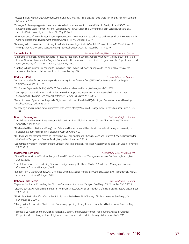"Metacognition: why it matters for your learning and how to use it." NSF S-STEM: STEM Scholars in Biology Institute. Durham, NC, April 5, 2019.

- "Strategies for leveraging professional networks to build your leadership potential." With J.L. Burris, J. L., and G.D. Thomas. Empowered to Lead: Women in Higher Education 2nd Annual Leadership Conference, North Carolina Agricultural & Technical State University, Greensboro, NC, May 16, 2019.
- "The importance of networking and building your network." With J.L. Burris, G.D. Thomas, and A.W. Strickland. BRIDGES North Carolina professional development program, Chapel Hill, NC, October 4, 2019.
- "'Learning to learn': A course in metacognition for first-year college students." With E.J. Ploran, J.T. Lee, A.M. Masnick, and K. Weingartner. Psychonomic Society Meeting, Montréal, Québec, Canada, November 14-17, 2019.

### **Samuele Pardini** *Associate Professor, World Languages and Cultures*

- "Untenable Whiteness. Immigration, racial Politics and Modernity in Jerre manginess Writings on Sterling Brown and Ralph Ellison", African Cultural Studies Program, Comparative Literature and Folklore Studies Program, and the Dept of French and Italian, University of Wisconsin Madison, October 18, 2019.
- "Fighting to Build Imperialism. Writing to Unmask it. Leslie Fiedler's in Hawai'i during WWII", The Annual Meeting of the American Studies Association, Honolulu, HI, November 10, 2019.

**Rodney L. Parks** *Rodney L. Parks**Assistant Professor, Registrar* 

"Innovative models for documenting student learning: Stories from the front", NASPA Conference Panel, Los Angeles, California, March 9-13, 2019.

"Elon's Visual Experiential Profile", AACRAO's Comprehensive Learner Record, Webinar, March 22, 2019.

- "Leveraging Micro-Credentialing and Student Records to Support Comprehensive International Education Program Outcomes", The Forum's 15th Annual Conference, Denver, CO, March 27-29, 2019.
- "Panel discussion: Bytes across the pond Digital records in the UK and the US", Groningen Declaration Annual Meeting, Puebla, Mexico, April 24-26, 2019.
- "Improving curriculum and catalog processes with SmartCatalog", Watermark Engage, New Orleans, Louisiana, June 25-28, 2019.

**Brian K. Pennington** *Professor, Religious Studies*

- "Lies, Failures, and Disasters: Entrepreneurial Religion in an Era of Globalization and Climate Change", Illinois Wesleyan University, April 10, 2019.
- "The Best-laid Plans of Mice and (Holy) Men: Failure and Entrepreneurial Hinduism in the Indian Himalayas", University of Heidelberg, South Asia Institute, Heidelberg, Germany, June 7, 2019.
- "The River and the Markets: Assessing Entrepreneurial Religion along the Ganga", South and Southeast Asian Association for the Study of Religion and Culture, Dhaka, Bangladesh, June 13-16, 2019.
- "Economies of Modern Hinduism and the Ethics of their Interpretation", American Academy of Religion, San Diego, November 23-26, 2019.

**Matthew B. Perrigino** *Assistant Professor, Management*

- "Team Climates: More to Consider than just Shared Context", Academy of Management Annual Conference, Boston, MA, August, 2019.
- "The Role of Resources in Reducing Citizenship Fatigue among Healthcare Workers", Academy of Management Annual Conference, Boston, MA, August, 2019.
- "Types of Family Status Change: What Difference Do They Make for Work-Family Conflict?", Academy of Management Annual Conference, Boston, MA, August, 2019.

**Rebecca Todd Peters** *Professor, Religious Studies*

"Reproductive Justice: Expanding the Discourse," American Academy of Religion, San Diego, CA, November 23-27, 2019.

- "Creating Successful Religion Programs in an Anti-Humanities Age," American Academy of Religion, San Diego, CA, November 23-27, 2019.
- "The Bible as Political Artifact: On the Feminist Study of the Hebrew Bible," Society of Biblical Literature, San Diego, CA, November 23-27, 2019.
- "Changing the Conversation," Faith Leader Convening Opening plenary, Planned Parenthood Federation of America, May 21-22, 2019.
- "Reproductive Justice and the Churches: Rejecting Misogyny and Trusting Women," Reproductive Justice in America: Perspectives from History, Culture, Religion, and Law, Southern Methodist University, Dallas, TX, April 4-5, 2019.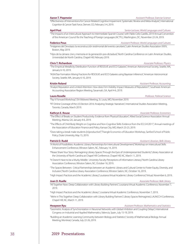### **Aaron T. Piepmeier** *Assistant Professor, Exercise Science*

"Effectiveness of Interventions for Cancer-Related Cognitive Impairment: Systematic Review and Meta-Analysis", International Cognition & Cancer Task Force, Denver, CO, February 3-4, 2019.

### **April Post** *Senior Lecturer, World Languages and Cultures*

"The Impacts of an Intercultural Approach to Intermediate Spanish Course," with Pablo Celis-Castillo, 2019 Annual Convention of the American Council for the Teaching of Foreign Languages (ACTFL), Washington, DC, November 22-24, 2019.

"Imágenes del Devotazo: la reconstrucción testimonial del evento carcelario", Latin American Studies Association XXXV, Boston, May 2019.

"Hijos de la cámara: cine y memoria en la generación pos-dictadura", North Carolina Conference on Latin American Studies, Universidad de North Carolina, Chapel Hill, February 2019.

"The Empirical Metallicity Distribution Function of RESOLVE and ECO Galaxies", American Astronomical Society, Seattle, WA, January 6-10, 2019.

"AGN/Star Formation Mixing Fractions for RESOLVE and ECO Galaxies using Bayesian Inference", American Astronomical Society, Seattle, WA, January 6-10, 2019.

### **Kristin Roland** *Assistant Professor, Accounting*

"Analyst Reputation and Limited Attention: How does Firm Visibility Impact Measures of Reputation?", Southeast American Accounting Association Region Meeting, Savannah, GA, April 4-6, 2019.

### **Laura Roselle** *Professor, Political Science*

"Pay It Forward Workshop", ISA Midwest Meeting, St. Louis, MO, November 2019.

"RT Online Coverage of the US Election 2016: Analyzing Strategic Narratives", International Studies Association Meeting, Toronto, Canada, March 2019.

"The Effect of Breaks on Student Productivity: Evidence from Physical Education", Allied Social Science Association Annual Meeting, Atlanta, GA, January 4-6, 2019.

- "The Effects of Child Body Weight on Cognitive and Non-Cognitive Skills: Evidence from the ECLS-K:2011", Annual meetings of the Association of Education Finance and Policy, Kansas City, MO, March 23-23, 2019.
- "Does taking a break make students (in)productive?," Triangle Economics of Education Workshop, Sanford School of Public Policy, Duke University, May 15, 2019.

### **Patrick D. Rudd** *Assistant Librarian, Belk Library*

- "A World of Possibilities: Academic Library Partnerships for Intercultural Development," Workshop on Intercultural Skills Enhancement Conference, Winston Salem, NC, February 14, 2019.
- "Please Share Your Story: Reimagining Library Spaces Through the Eyes of Underrepresented Students," Library Association at the University of North Carolina at Chapel Hill Conference, Chapel Hill, NC, March 11, 2019.
- "It Doesn't Have to be a Murky Middle: University Faculty Perceptions of Information Literacy," North Carolina Library Association Conference, Winston Salem, NC, October 16, 2019.
- "The Spaces Between: Critical Partnerships between an Academic Library and Cultural Center to Foster Equity, Diversity, and Inclusion," North Carolina Library Association Conference, Winston Salem, NC, October 16, 2019.

"High Impact Practices and the Academic Library," Louisiana Virtual Academic Library Conference," Virtual, November 6, 2019.

"All Together Now: Deep Collaboration with Library Building Partners", Louisiana Virtual Academic Conference, November 7, 2019.

"High Impact Practices and the Academic Library", Louisiana Virtual Academic Conference, November 7, 2019.

"We're in This Together: Deep Collaboration with Library Building Partners", Library Spaces Reimagined, LAUNCCH Conference, Chapel Hill, NC, March 11, 2019.

**Hwayeon Ryu** *Assistant Professor, Mathematics and Statistics*

- "Geometric Analysis of Synchronization in Neuronal Networks with Global Inhibition and Coupling Delays", International Congress on Industrial and Applied Mathematics, Valencia, Spain, July 15-19, 2019.
- "Building an Academic Learning Community between Biology and Statistics", Society of Mathematical Biology Annual Meeting, Montreal, Canada, July 22-26, 2019.

### **Chris T. Richardson** *Associate Professor, Physics*

### **Kathryn E. Rouse** *Associate Professor, Economics*

**Joan D. Ruelle** *Associate Professor, Belk Library Associate Professor, Belk Library* 

### **Federico Pous** *Assistant Professor, World Languages and Cultures*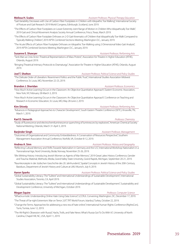### **Melissa H. Scales** *Assistant Professor, Physical Therapy Education**Assistant Professor, Physical Therapy Education*

"Gait Variability Decreases with Use of Carbon Fiber Footplates in Children with Idiopathic Toe Walking", International Society of Posture and Gait Research 2019 World Congress, Edinburgh, Scotland, June 2019.

- "The Effects of Carbon Fiber Footplates on Lower Extremity Joint Range of Motion in Children Who Idiopathically Toe-Walk", 2019 Gait and Clinical Movement Analysis Society Annual Conference, Frisco, Texas, March 2019.
- "The Effects of Carbon Fiber Footplate Orthoses on 2-D Gait Kinematics of Children that Idiopathically Toe-Walk Compared to Typically Walking Children", 2019 APTA Combined Sections Meeting, Washington D.C., January 2019.
- "The Acute Effects of Carbon Fiber Footplate Orthoses on Idiopathic Toe-Walking using 2-Dimensional Video Gait Analysis", 2019 APTA Combined Sections Meeting, Washington D.C., January 2019.

**Susanne E. Shawyer** *Assistant Professor, Performing Arts*

"Tank Man as Crisis Actor: Theatrical Representations of Mass Protest", Association for Theatre in Higher Education (ATHE), Orlando, August 2019.

"Bringing Theatrical Intimacy Protocols to Dramaturgy", Association for Theatre in Higher Education (ATHE), Orlando, August 2019.

**Joel T. Shelton** *Assistant Professor, Political Science and Policy Studies* 

"The Delicate Order of Liberalism: Resentment Politics and the Public Trust", International Studies Association Midwest Conference, St. Louis, MO, November 22-23, 2019.

"How Much Active Learning Occurs in the Classroom: An Objective Quantitative Approach", Eastern Economic Association, New York, NY, February 28-March 3, 2019.

"How Much Active Learning Occurs in the Classroom: An Objective Quantitative Approach", Conference on Teaching and Research in Economic Education, St. Louis, MO, May 28-June 2, 2019.

### **Kim Shively** *Assistant Professor, Performing Arts*

 "Advances in Pedagogical Approaches to Character Development", South Eastern Theatre Conference (SETC), Knoxville, TN, March 1, 2019.

"Study of fluorescence and electrochemiluminescence quenching of luminescors by explosives", American Chemical Society National Meeting, Orlando, March 31-April 3, 2019.

"Outcomes of Organizational and Community Embeddedness: A Conservation of Resources Perspective", Southern Management Association Annual Conference, Norfolk, VA, October 8-12, 2019.

**Andrea A. Sinn** *Assistant Professor, History and Geography*

"Reflecting Cultural Memory and Shifts Towards Nationalism in Germany and the U.S.", International Workshop Nationalism in a Transnational Age, Nord University, Bodø, Norway, November 25-26, 2019.

"(Re-)Writing History: Introducing Jewish Women as Agents of War Memory", 2019 Great Lakes History Conference, Gender and Trauma: Material, Methods, Media, Grand Valley State University, Grand Rapids, Michigan, September 20-21, 2019.

"Raumkonzepte in der Jüdischen Geschichte des 20. Jahrhunderts", Spatial Concepts in Jewish History of the 20th Century, Basiskurs, Department of Jewish History and Culture at LMU Munich, July 9, 2019.

**Aaron Sparks** *Assistant Professor, Political Science and Policy Studies*

"Global Sustainability Literacy: The "Sulitest" and International Understandings of Sustainable Development", International Studies Association, Toronto, CA, April 2019.

"Global Sustainability Literacy: The "Sulitest" and International Understandings of Sustainable Development", Sustainability and Development Conference, University of Michigan, October 2019.

### **Megan Squire** *Professor, Computer Science*

"Whack-a-mole: Understanding Online Hate Using Data Science", LCCRUL Convening, Washington, DC, December 17, 2019.

"The Threat of Far-right Extremism: War on Terror 2.0?", TRT World Forum, Istanbul, Turkey, October 22, 2019.

"Change the Terms: Approaches for addressing a new era of hate online", International Human Rights Conference (RightsCon), Tunis, Tunisia, June 12, 2019.

"The Alt-Right's Obsession with Russia", Hacks, Trolls, and Fake News: What's Russia Got To Do With It?, University of North Carolina, Chapel Hill, NC, USA, April 11, 2019.

### **Karl D. Sienerth** *Professor, Chemistry*

### **Brandon J. Sheridan** *Assistant Professor, Economics*

**Barjinder Singh** *Assistant Professor, Management*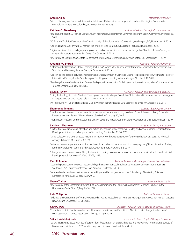"Victim-Blaming as a Barrier to Intervention in Intimate Partner Violence Response", Southeast Ecological Community Psychology Conference, Columbia, SC, November 15-16, 2019.

### **Kathleen S. Stansberry** *Assistant Professor, Strategic Communications*

"Imagining the Next 50 Years of Digital Life", UN-facilitated Global Internet Governance Forum, Berlin, Germany, November 25, 2019.

"10 Essential Tools for Data Journalism", National High School Journalism Convention, Washington, DC, November 22, 2019. "Looking Back to Go Forward: 50 Years of the Internet", Web Summit 2019, Lisbon, Portugal, November 5, 2019.

"Digital media analytics: Pedagogical approaches and opportunities for curriculum integration", Public Relations Society of America Educators Academy, San Diego, CA, October 19, 2019.

"The Future of Digital Life", U.S. State Department International Visitors Program, Washington, DC, September 11, 2019.

### **Amanda F.C. Sturgill** *Associate Professor, Journalism*

- "Retracting the Borders on Global Learning: Including "Home" in the Experience", International Society for the Scholarship of Teaching and Learning, Atlanta, Georgia, October 9-12, 2019.
- "Loosening the Borders Between Instructors and Students: When it Comes to Online Help, is it Better to Give than to Receive?", International Society for the Scholarship of Teaching and Learning, Atlanta, Georgia, October 9-12, 2019.
- "Teaching Graduate Students from Diverse Backgrounds", Association for Education in Journalism and Mass Communication, Toronto, Ontario, August 7-10, 2019.

### **Laura L. Taylor** *Associate Professor, Mathematics and Statistics*

"Using Technology to Foster Students' Conceptual Understanding of Correlation", International Conference on Technology in Collegiate Mathematics, Scottsdale, AZ, March 14-17, 2019.

"An Introductory R Course for Statistics Majors", Women in Statistics and Data Science, Bellevue, WA, October 3-5, 2019.

### **Shannon A. Tennant** *Associate Librarian, Belk Library*

### "Right now, in a classroom far, far away: Librarian support for students studying abroad", North Carolina Library Association Distance Learning Section Winter Meeting, Sanford, NC, January 10, 2019.

"High Impact Practices and the Academic Library", Louisiana Virtual Academic Library Conference, Online, November 7, 2019.

### **Sabrina L. Thurman** *Assistant Professor, Psychology*

### "On the time course of visual attention and action selection in infant reaching," Healthy and Active Children: Lifespan Motor Development Science and Application, Verona, Italy, September 11-14, 2019.

- "Visual selection and goal-directed reaching in infancy," North American Society for the Psychology of Sport and Physical Activity, Baltimore, MD, June 6-8, 2019.
- "Infant locomotor experience and changes in exploratory behaviors: A longitudinal free-play study," North American Society for the Psychology of Sport and Physical Activity, Baltimore, MD, June 6-8, 2019.
- "Changes in mothers' and infants' target interactions during postural-locomotor development," Society for Research in Child Development, Baltimore, MD, March 21-23, 2019.

### **Carri R. Tolmie** *Assistant Professor, Marketing and International Business*

- "Leadership and Corporate Social Responsibility: The Role of Spiritual Intelligence," Academy of International Business Southeast USA Chapter Conference, San Antonio, TX, October 2019.
- "Women leaders and firm performance: unpacking the effect of gender and trust", Academy of Marketing Science Conference, Vancouver, Canada, May 2019.

### **Shawn Tucker** *Associate Professor, Art*

"The Ecology of the Classroom: Practical Tips Toward Improving the Learning Environment", Mormon Scholars in the Humanities, Cedar City, UT, May 16-18, 2019.

### **Kate M. Upton** *Assistant Professor, Finance*

"Side By Side Management of Actively Managed ETFs and Mutual Funds", Financial Management Association Annual Meeting, New Orleans, LA October 23-26, 2019.

**Kaye C. Usry** *Assistant Professor, Political Science and Policy Studies* "'I'm not a scientist, I just know what I see:' Hurricane Experiences and Skepticism About Climate Change in a Red State", Midwest Political Science Association, Chicago, IL, April 2019.



### **Srikant Vallabhajosula** *Associate Professor, Physical Therapy Education*

"Gait variability decreases with use of carbon fiber footplates in children with idiopathic toe walking", International Society of Posture and Gait Research 2019 World Congress, Edinburgh, Scotland, June 2019.

### 40 2019 Presentations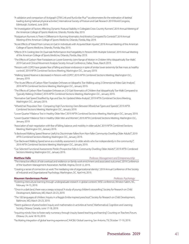- "A validation and comparison of Actigraph GT9X Link and RunScribe Plus™ accelerometers for the estimation of skeletal loading during habitual physical activities", International Society of Posture and Gait Research 2019 World Congress, Edinburgh, Scotland, June 2019.
- "An Investigation of Factors Affecting Dynamic Postural Stability in Collegiate Cross Country Runners", 2019 Annual Meeting of the American College of Sports Medicine, Orlando, Florida, May 2019.
- "Postpartum Runners: Is There A Difference In Running Kinematics And Kinetics Compared To Controls?", 2019 Annual Meeting of the American College of Sports Medicine, Orlando, Florida, May 2019.
- "Acute Effects of Yoked Prism Lenses on Gait in Individuals with Acquired Brain Injuries", 2019 Annual Meeting of the American College of Sports Medicine, Orlando, Florida, May 2019.
- "Effects Of A Cooling Vest On Dual-task Performance And Fatigability In Persons With Multiple Sclerosis", 2019 Annual Meeting of the American College of Sports Medicine, Orlando, Florida, May 2019.
- "The Effects of Carbon Fiber Footplates on Lower Extremity Joint Range of Motion in Children Who Idiopathically Toe-Walk", 2019 Gait and Clinical Movement Analysis Society Annual Conference, Dallas, Texas, March 2019.
- "Persons with COPD have greater fear of falling and lesser endurance in spite of similar lower extremity fat free mass as healthy controls", 2019 APTA Combined Sections Meeting, Washington D.C., January 2019.
- "Walking Speed Reserve is decreased in Persons with COPD", 2019 APTA Combined Sections Meeting, Washington D.C., January 2019.
- "The Acute Effects of Carbon Fiber Footplate Orthoses on Idiopathic Toe-Walking using 2-Dimensional Video Gait Analysis", 2019 APTA Combined Sections Meeting, Washington D.C., January 2019.
- "The Effects of Carbon Fiber Footplate Orthoses on 2-D Gait Kinematics of Children that Idiopathically Toe-Walk Compared to Typically Walking Children", 2019 APTA Combined Sections Meeting, Washington D.C., January 2019.
- "Normative Gait Speed Stratified by Age and Sex: An Updated Meta-Analysis", 2019 APTA Combined Sections Meeting, Washington D.C., January 2019.
- "Wheelchair Propulsion Test Comparing High Functioning Users Between Wheelchair Types and Speeds", 2019 APTA Combined Sections Meeting, Washington D.C., January 2019.
- "Lower Quarter Y-Balance Test in Healthy Older Men", 2019 APTA Combined Sections Meeting, Washington D.C., January 2019.
- "Lower Quarter Y-Balance Test in Healthy Older Men and Women", 2019 APTA Combined Sections Meeting, Washington D.C., January 2019.
- "Association of stair negotiation with fear of falling, balance, and mobility in older adults", 2019 APTA Combined Sections Meeting, Washington D.C., January 2019.
- "Is Backward Walking Speed Reserve Useful to Discriminate Fallers from Non-Faller Community-Dwelling Older Adults?", 2019 APTA Combined Sections Meeting, Washington D.C., January 2019.
- "Can Backward Walking Speed serve as a mobility assessment in older adults who live independently in the community?", 2019 APTA Combined Sections Meeting, Washington D.C., January 2019.
- "Can Selected Functional Assessments Predict Prospective Falls In Community-Dwelling Older Adults?", 2019 APTA Combined Sections Meeting, Washington D.C., January 2019.

### **Matthew Valle** *Professor, Management and Entrepreneurship*

- "The interactive effects of role overload and resilience on family-work enrichment and associated outcomes", 2019 Conference of the Southern Management Association, Norfolk, Virginia, Oct 8-12, 2019.
- "Creating a sense of connection at work: The mediating role of organizational identity", 2019 Annual Conference of the Society of Industrial and Organizational Psychology, Washington, DC. April 4-6, 2019.

### **Maureen Vandermaas-Peeler** *Professor, Psychology*

- 
- "Fostering intercultural learning through undergraduate research in global contexts", WISE conference, Winston-Salem, NC, February 14-15, 2019.
- "'Once in a dark land, there was a creepy octopus!' A study of young children's storytelling", Society for Research on Child Development, Baltimore, MD, March 20-23, 2019.
- "The 100 languages of children: Inquiry in a Reggio Emilia-inspired preschool", Society for Research on Child Development, Baltimore, MD, March 20-23, 2019.
- "Parent guidance of preschoolers' inquiry and mathematics in activities at home", Mathematical, Cognition and Learning Society, Ottawa, Canada, June 17-18, 2019.
- "Inquiring minds: How to foster early numeracy through inquiry-based teaching and learning", Counting on Teachers Forum, Ottawa, CA, June 18-19, 2019.
- "Facilitating integration of global learning experiences", AAC&U Global Learning, San Antonio, TX, October 17-19, 2019.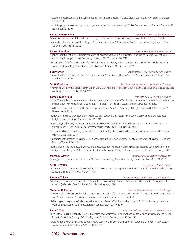"Fostering global citizenship through mentored high-impact practices", AAC&U Global Learning, San Antonio, TX, October 17-19, 2019.

"Multidisciplinary research on global engagement: An institutional case study", Global Service Learning Summit, Clemson, SC, November 3-5, 2019.

### **Ryne C. VanKrevelen** *Lecturer, Mathematics and Statistics*

"Interactive Examples in Statistics Courses Using R Shiny", Joint Statistical Meetings, Denver, CO, July 27-August 1, 2019.

"Interactive Class Examples with R Shiny to Build Student Intuition", United States Conference on Teaching Statistics, State College, PA, May 16-18, 2019.

### **Lauren F. Walker** *Assistant Professor, Exercise Science*

"High school student-athlete's implementation of leadership training: A prospective, longitudinal, multiple case study", Association for Applied Sport Psychology, Portland, OR, October 23-26, 2019.

"Examination of the factor structure of a swimming-specific CNAAQ-2 with a sample of swim coaches", North American Society for Psychology of Sport and Physical Activity, Baltimore, MD, June 5-8, 2019.

**Bud Warner** *Associate Professor, Human Service Studies*

"Grounding human services in the liberal arts", National Association of Human Services Annual Conference, Anaheim, CA, October 23-25, 2019.

**Scott Windham** *Associate Professor, World Languages and Cultures*

"Promoting Literacy Through Research-Driven Grammar Instruction," American Council on the Teaching of Foreign Languages, Washington DC, November 22-24, 2019.

### **Pamela D. Winfield** *Associate Professor, Religious Studies*

- "Visual Mimesis, Textual Nemesis: Animation and Alienation in Japanese Zen Art", Comité Internationale de l'Histoire de l'Art in collaboration with Kunsthistorisches Institut in Florenz – Max-Planck-Institut, Florence, Italy, Sept 1-6, 2019.
- "No Needles Required: Teaching Daoist Healing Techniques", American Academy of Religion Daoism Unit, San Diego, CA, November 23, 2019.
- "Buddhism, Religious Knowledge, and Public Space in Edo and Meiji Japan", American Academy of Religions Japanese Religions Unit, San Diego, CA, November 25, 2019.
- "Best Books, Black Holes, and Future Directions", The Roots of Dōgen Studies: Conference on the Life and Thought of Zen Master Dōgen (1200-1253), Florida International University, Miami, FL, March 28-30, 2019.
- "An Illustrated Guide to Training the Mind: The Ten Ox-Herding Pictures of Zen Buddhism", Florida International University, Miami, FL, March 29, 2019.
- "Undergraduate Research in Japanese Religions", Association of Asian Studies / Society for the Study of Japanese Religions, Denver, CO, March 24, 2019.
- "Body Building: The Architectural Corpus of the Japanese Zen Monastery," On the Edge international symposium on "The Religious Body Imagined," Elon University Center for the Study of Religion, Culture and Society, Elon, NC, February 9, 2019.

### **Marna K. Winter** *Senior Lecturer, Education and Wellness*

"Strategies to motivate reluctant readers", North Carolina Reading Association, Raleigh, North Carolina, March 31, 2019.

### **Scott D. Wolter** *Associate Professor, Physics*

"Emergence and distinction of classes in XRD data via machine learning", Proc. SPIE 10999, Anomaly Detection and Imaging with X-Rays (ADIX) IV, 109990D, May 14, 2019.

"Modeling throughout the Curriculum: Disease Transmission (Project NExT Short Course)", Mathematical Association of America (MAA) MathFest, Cincinnati, OH, July 31-August 3, 2019.

"The Political Appeal of Nostalgic Television: A Textual Analysis of the TV drama Blue Bloods", 2019 Annual Mid-Atlantic Popular and American Culture Association Conference, Pittsburgh, PA, November 7-9, 2019.

"Reflecting on Integration - Challenges in Research and Practice", 2019 Annual Association for Education in Journalism and Mass Communication Conference, Toronto, Canada, August, 7-10, 2019.

**Rena C. Zito** *Assistant Professor, Sociology and Anthropology*

- "Involuntary Housing Instabilities, Family Processes, and Adolescent Socioemotional Outcomes, Aggression, and Delinquent Behavior," American Society of Criminology, San Francisco, CA, November 13-16, 2019.
- "Cross-National Variation in Crime-Supportive Attitudes: A Multilevel Examination of Institutional Anomie Theory," Eastern Sociological Society, Boston, MA, March 10-13, 2019.

### 42 2019 Presentations

**Karen A. Yokley** *Associate Professor, Mathematics and Statistics*

**Shannon D. Zenner** *Assistant Professor, Communication Design*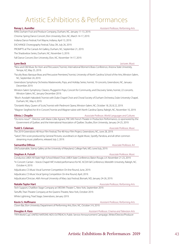## Artistic Exhibitions & Performances

| <b>Renay L. Aumiller</b>                                                                                                                                                                                                                        | Assistant Professor, Performing Arts              |
|-------------------------------------------------------------------------------------------------------------------------------------------------------------------------------------------------------------------------------------------------|---------------------------------------------------|
| RAW, Durham Fruit and Produce Company, Durham, NC, January 11-13, 2019.                                                                                                                                                                         |                                                   |
| Chroma: Spring Dance Concert, Elon University, Elon, NC, March 14-17, 2019.                                                                                                                                                                     |                                                   |
| Indiana Dance Festival, Fort Wayne, Indiana, April 13, 2019.                                                                                                                                                                                    |                                                   |
| EXCHANGE Choreography Festival, Tulsa, OK, July 26, 2019.                                                                                                                                                                                       |                                                   |
| PROMPTS at The Carrack Art Gallery, Durham, NC, September 21, 2019.                                                                                                                                                                             |                                                   |
| The Shadowbox Series, Durham, NC, November 3, 2019.                                                                                                                                                                                             |                                                   |
| Fall Dance Concert, Elon University, Elon, NC, November 14-17, 2019.                                                                                                                                                                            |                                                   |
| Lynn Beck                                                                                                                                                                                                                                       | Lecturer, Music                                   |
| "New and Old Music for Horn and Percussion," hornist, International Women's Brass Conference, Arizona State University,<br>Tempe, AZ, May 25, 2019.                                                                                             |                                                   |
| "Faculty Brass: Baroque Brass and Percussive Premieres," hornist, University of North Carolina School of the Arts, Winston-Salem,<br>NC, September 24, 2019.                                                                                    |                                                   |
| Greensboro Symphony Orchestra: Masterworks, Pops, and Holiday Series, hornist, 19 concerts, Greensboro, NC, January-<br>December 2019.                                                                                                          |                                                   |
| Winston-Salem Symphony: Classics, Plugged-In Pops, Concert for Community, and Discovery Series, hornist, 22 concerts,<br>Winston-Salem, NC, January-December 2019.                                                                              |                                                   |
| "Bloch: Avodath Hakodesh," hornist with Duke Chapel Choir and Choral Society of Durham Orchestra, Duke University Chapel,<br>Durham, NC, May 4, 2019.                                                                                           |                                                   |
| "Donizetti: Mary, Queen of Scots," hornist with Piedmont Opera, Winston-Salem, NC, October 18, 20, & 22, 2019.                                                                                                                                  |                                                   |
| "Wagner: Siegfried Act III in Concert," hornist and Wagner tubist with North Carolina Opera, Raleigh, NC, November 10, 2019.                                                                                                                    |                                                   |
| Olivia J. Choplin                                                                                                                                                                                                                               | Associate Professor, World Languages and Cultures |
| "Où irons-nous?" - Director, with Marie-Célie Agnant, FRE 349: French Theater in Production Performance, co-sponsored by the<br>Government of Québec and the International Association of Québec Studies, Elon University, January 24-25, 2019. |                                                   |
| <b>Todd S. Coleman</b>                                                                                                                                                                                                                          | Associate Professor, Music                        |
| The 2019 Greensboro 48 Hour Film Festival, The 48 Hour Film Project, Greensboro, NC, June 28, 2019.                                                                                                                                             |                                                   |
| "Satori", Film score produced by General Pictures, soundtrack on Apple Music, Spotify, Pandora, and all other common<br>streaming music platforms, released July 2, 2019.                                                                       |                                                   |
| Samantha DiRosa                                                                                                                                                                                                                                 | Associate Professor, Art                          |
| UN/Sustainable, Stamp Gallery at the University of Maryland, College Park, MD, June/July, 2019.                                                                                                                                                 |                                                   |
| <b>Stephen A. Futrell</b>                                                                                                                                                                                                                       | Associate Professor, Music                        |
| Conductor, LMEA All State High School Mixed Choir, LMEA State Conference, Baton Rouge, LA. November 21-23, 2019.                                                                                                                                |                                                   |
| "In Concert: Cantari – Voices Chapel Hill", Invited performance for NC ACDA Fall Conference, Meredith University, Raleigh, NC.<br>October 4, 2019.                                                                                              |                                                   |
| Adjudicator, CS Music Vocal Summer Competition On-line Round, June, 2019.                                                                                                                                                                       |                                                   |
| Adjudicator, CS Music Vocal Spring Competition On-line Round, April, 2019.                                                                                                                                                                      |                                                   |
| .Adjudicator/Clinician, 46th Annual University of Mary Jazz Festival, Bismark, ND, January 24-26, 2019                                                                                                                                          |                                                   |
| <b>Natalie Taylor Hart</b>                                                                                                                                                                                                                      | Associate Professor, Performing Arts              |
| Tech Support, Chatillion Stage Company at 59E59th Theater C, New York, September 2019.                                                                                                                                                          |                                                   |
| Tartuffe, Titan Theatre Company at the Queens Theatre, New York, October 2019.                                                                                                                                                                  |                                                   |
| White Lightning, Triad Stage, Greensboro, January 2019.                                                                                                                                                                                         |                                                   |
| Kevin S. Hoffmann                                                                                                                                                                                                                               | Assistant Professor, Performing Arts              |
| Clown Bar, Elon University Department of Performing Arts, Elon, NC, October 3-9, 2019.                                                                                                                                                          |                                                   |
| Douglas A. Kass                                                                                                                                                                                                                                 | Assistant Professor, Cinema and Television Arts   |
|                                                                                                                                                                                                                                                 |                                                   |

## Artistic Exhibitions & Performances 2019 43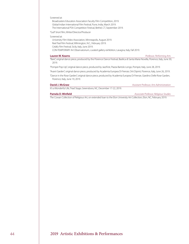### Screened at:

Broadcasters Education Association Faculty Film Competition, 2019. Global Indian International Film Festival, Pune, India, March 2019. The International PSA Competition Festival, Bethel, CT, September 2019.

"Gull" short film, Writer/Director/Producer

### Screened at:

University Film Video Association, Minneapolis, August 2019. Reel Teal Film Festival, Wilmington, N.C., February 2019. Celafu Film Festival, Sicily, Italy, June 2019. CON-TEMPORARY Art Observatorium, curated gallery exhibition, Lavagna, Italy, Fall 2019.

**Lauren W. Kearns** *Professor, Performing Arts*

"Bare", original dance piece, produced by the Florence Dance Festival, Basilica di Santa Maria Novella, Florence, Italy, June 30, 2019.

"Pompei Pop-Up", original dance piece, produced by JazzFest, Piazza Bartolo Longo, Pompei, Italy, June 28, 2019.

"Avant Garden", original dance piece, produced by Academia Europea Di Firenze, Orti Dipinti, Florence, Italy, June 26, 2019.

"Dance in the Rose Garden", original dance piece, produced by Academia Europea Di Firenze, Giardino Delle Rose Garden, Florence, Italy, June 19, 2019.

**David J. McGraw** *Assistant Professor, Arts Administration*

It's a Wonderful Life, Triad Stage, Greensboro, NC, December 17-22, 2019.

**Pamela D. Winfield** *Associate Professor, Religious Studies*

The Cowan Collection of Religious Art, on extended loan to the Elon University Art Collection, Elon, NC, February 2019.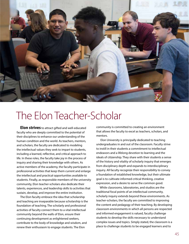

# The Elon Teacher-Scholar

**Elon strives** to attract gifted and well-educated faculty who are deeply committed to the potential of their disciplines to enhance our understanding of the human condition and the world. As teachers, mentors, and scholars, the faculty are dedicated to modeling the intellectual values they seek to impart to students, including a learned, reflective, and critical approach to life. In these roles, the faculty take joy in the process of inquiry and sharing their knowledge with others. As active members of the academy, the faculty participate in professional activities that keep them current and enlarge the intellectual and practical opportunities available to students. Finally, as responsible members of the university community, Elon teacher-scholars also dedicate their talents, experiences, and leadership skills to activities that sustain, develop, and improve the entire institution.

The Elon faculty embrace the idea that scholarship and teaching are inseparable because scholarship is the foundation of teaching. The scholarly and professional activities of faculty connect them to a vital intellectual community beyond the walls of Elon, ensure their continuing development as enlightened seekers, contribute to the body of knowledge and wisdom, and renew their enthusiasm to engage students. The Elon

community is committed to creating an environment that allows the faculty to excel as teachers, scholars, and mentors.

 Elon University is principally dedicated to teaching undergraduates in and out of the classroom. Faculty strive to instill in their students a commitment to intellectual endeavors and a lifelong devotion to learning and the ideals of citizenship. They share with their students a sense of the history and vitality of scholarly inquiry that emerges from disciplinary depth and expands to interdisciplinary inquiry. All faculty recognize their responsibility to convey a foundation of established knowledge, but their ultimate goal is to cultivate informed critical thinking, creative expression, and a desire to serve the common good.

While classrooms, laboratories, and studios are the traditional focal points of an intellectual community, scholarly inquiry extends beyond these environments. As teacher-scholars, the faculty are committed to improving the content and pedagogy of their teaching. By developing classroom environments in which all persons are respected and informed engagement is valued, faculty challenge students to develop the skills necessary to understand complex issues and topics. Simply stated, the classroom is a place to challenge students to be engaged learners and to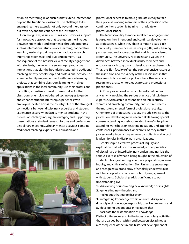establish mentoring relationships that extend interactions beyond the traditional classroom. The challenge to be engaged learners extends not only beyond the classroom but even beyond the confines of the institution.

Elon recognizes, values, nurtures, and provides support for innovative approaches that strengthen the linkages between knowledge and experience through programs such as international study, service learning, cooperative learning, leadership training, undergraduate research, internship experience, and civic engagement. As a consequence of this broader view of faculty engagement with students, the university encourages productive interactions that blur the boundaries separating traditional teaching activity, scholarship, and professional activity. For example, faculty may experiment with service-learning projects that combine classroom learning with direct applications in the local community, use their professional consulting expertise to develop case studies for the classroom, or employ web-based technologies to guide and enhance student internship experiences with employers located across the country. One of the strongest connections between disciplinary expertise and student experience occurs when faculty mentor students in the process of scholarly inquiry, encouraging and supporting presentations at student research forums and professional disciplinary meetings. Scholar-mentor activities combine traditional teaching, experiential education, and



professional expertise to mold graduates ready to take their place as working members of their profession or to continue their academic training in graduate or professional school.

The faculty's ability to model intellectual engagement is based on their intentional and continual development as professionals. While they share common goals, each Elon faculty member possesses unique gifts, skills, training, perspectives, and approaches that enrich the academic community. The university recognizes and values the differences between individual faculty members and encourages each to grow and develop as a teacher-scholar. Thus, the Elon faculty reflect the comprehensive nature of the institution and the variety of their disciplines in that they are scholars, mentors, philosophers, theoreticians, researchers, artists, writers, educators, and professional practitioners.

At Elon, professional activity is broadly defined as any activity involving the serious practice of disciplinary expertise. Scholarship is essential to an intellectually vibrant and enriching community, and so it represents the most fundamental form of professional activity. Other forms of professional activity include service to the profession, developing new research skills, taking special courses, attending workshops related to one's discipline, attending workshops on teaching pedagogy and attending conferences, performances, or exhibits. As they mature professionally, faculty may serve as consultants and accept leadership roles in disciplinary organizations.

Scholarship is a creative process of inquiry and exploration that adds to the knowledge or appreciation of disciplinary or interdisciplinary understanding. It is the serious exercise of what is being taught in the education of students: clear goal setting, adequate preparation, intense inquiry, and critical reflection. Elon University encourages and recognizes a broad array of scholarly endeavors just as it has adopted a broad view of faculty engagement with students. Scholarship adds significantly to our understanding by:

- **1.** discovering or uncovering new knowledge or insights
- **2.** generating new theories and techniques that guide discovery
- **3.** integrating knowledge within or across disciplines
- **4.** applying knowledge responsibly to solve problems, and
- **5.** developing pedagogical innovations that

facilitate the dissemination of knowledge. Distinct differences exist in the types of scholarly activities that are valued both within and between disciplines as a consequence of the unique historical development of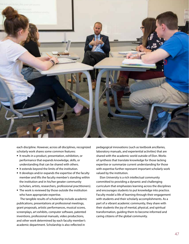

each discipline. However, across all disciplines, recognized scholarly work shares some common features:

- **•** It results in a product, presentation, exhibition, or performance that expands knowledge, skills, or understanding that can be shared with others.
- **•** It extends beyond the limits of the institution.
- **•** It develops and/or expands the expertise of the faculty member and lifts the faculty member's standing within the institution and in his/her greater community (scholars, artists, researchers, professional practitioners).
- **•** The work is reviewed by those outside the institution who have appropriate expertise.

The tangible results of scholarship include academic publications, presentations at professional meetings, grant proposals, artistic performances, musical scores, screenplays, art exhibits, computer software, patented inventions, professional manuals, video productions, and other work determined by each faculty member's academic department. Scholarship is also reflected in

pedagogical innovations (such as textbook ancillaries, laboratory manuals, and experiential activities) that are shared with the academic world outside of Elon. Works of synthesis that translate knowledge for those lacking expertise or summarize current understanding for those with expertise further represent important scholarly work valued by the institution.

Elon University is a rich intellectual community committed to providing a dynamic and challenging curriculum that emphasizes learning across the disciplines and encourages students to put knowledge into practice. Faculty model a life of learning through their engagement with students and their scholarly accomplishments. As a part of a vibrant academic community, they share with their students the joy of mental, physical, and spiritual transformation, guiding them to become informed and caring citizens of the global community.